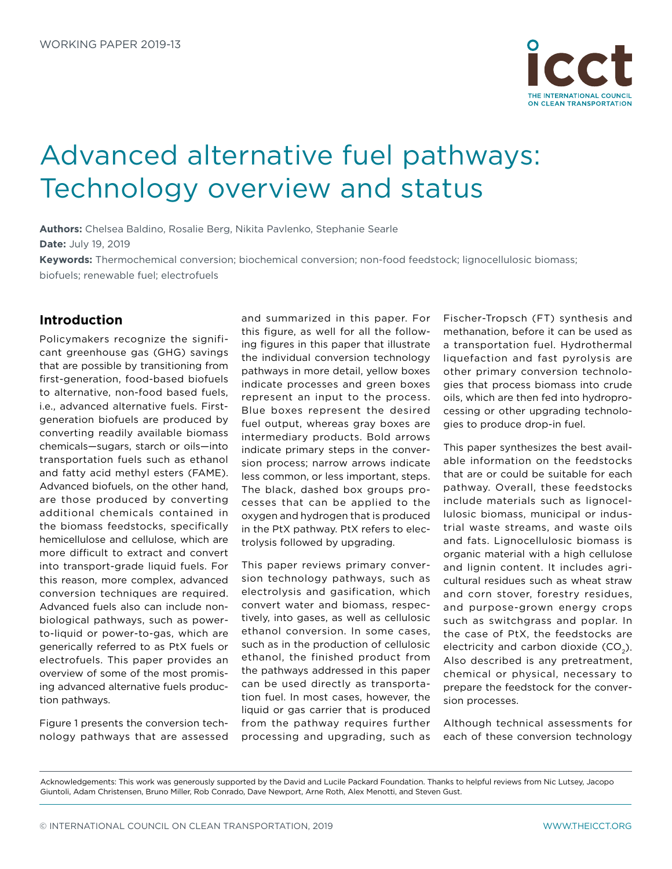

# Advanced alternative fuel pathways: Technology overview and status

**Authors:** Chelsea Baldino, Rosalie Berg, Nikita Pavlenko, Stephanie Searle **Date:** July 19, 2019

**Keywords:** Thermochemical conversion; biochemical conversion; non-food feedstock; lignocellulosic biomass; biofuels; renewable fuel; electrofuels

# **Introduction**

Policymakers recognize the significant greenhouse gas (GHG) savings that are possible by transitioning from first-generation, food-based biofuels to alternative, non-food based fuels, i.e., advanced alternative fuels. Firstgeneration biofuels are produced by converting readily available biomass chemicals—sugars, starch or oils—into transportation fuels such as ethanol and fatty acid methyl esters (FAME). Advanced biofuels, on the other hand, are those produced by converting additional chemicals contained in the biomass feedstocks, specifically hemicellulose and cellulose, which are more difficult to extract and convert into transport-grade liquid fuels. For this reason, more complex, advanced conversion techniques are required. Advanced fuels also can include nonbiological pathways, such as powerto-liquid or power-to-gas, which are generically referred to as PtX fuels or electrofuels. This paper provides an overview of some of the most promising advanced alternative fuels production pathways.

Figure 1 presents the conversion technology pathways that are assessed

and summarized in this paper. For this figure, as well for all the following figures in this paper that illustrate the individual conversion technology pathways in more detail, yellow boxes indicate processes and green boxes represent an input to the process. Blue boxes represent the desired fuel output, whereas gray boxes are intermediary products. Bold arrows indicate primary steps in the conversion process; narrow arrows indicate less common, or less important, steps. The black, dashed box groups processes that can be applied to the oxygen and hydrogen that is produced in the PtX pathway. PtX refers to electrolysis followed by upgrading.

This paper reviews primary conversion technology pathways, such as electrolysis and gasification, which convert water and biomass, respectively, into gases, as well as cellulosic ethanol conversion. In some cases, such as in the production of cellulosic ethanol, the finished product from the pathways addressed in this paper can be used directly as transportation fuel. In most cases, however, the liquid or gas carrier that is produced from the pathway requires further processing and upgrading, such as

Fischer-Tropsch (FT) synthesis and methanation, before it can be used as a transportation fuel. Hydrothermal liquefaction and fast pyrolysis are other primary conversion technologies that process biomass into crude oils, which are then fed into hydroprocessing or other upgrading technologies to produce drop-in fuel.

This paper synthesizes the best available information on the feedstocks that are or could be suitable for each pathway. Overall, these feedstocks include materials such as lignocellulosic biomass, municipal or industrial waste streams, and waste oils and fats. Lignocellulosic biomass is organic material with a high cellulose and lignin content. It includes agricultural residues such as wheat straw and corn stover, forestry residues, and purpose-grown energy crops such as switchgrass and poplar. In the case of PtX, the feedstocks are electricity and carbon dioxide  $(CO<sub>2</sub>)$ . Also described is any pretreatment, chemical or physical, necessary to prepare the feedstock for the conversion processes.

Although technical assessments for each of these conversion technology

Acknowledgements: This work was generously supported by the David and Lucile Packard Foundation. Thanks to helpful reviews from Nic Lutsey, Jacopo Giuntoli, Adam Christensen, Bruno Miller, Rob Conrado, Dave Newport, Arne Roth, Alex Menotti, and Steven Gust.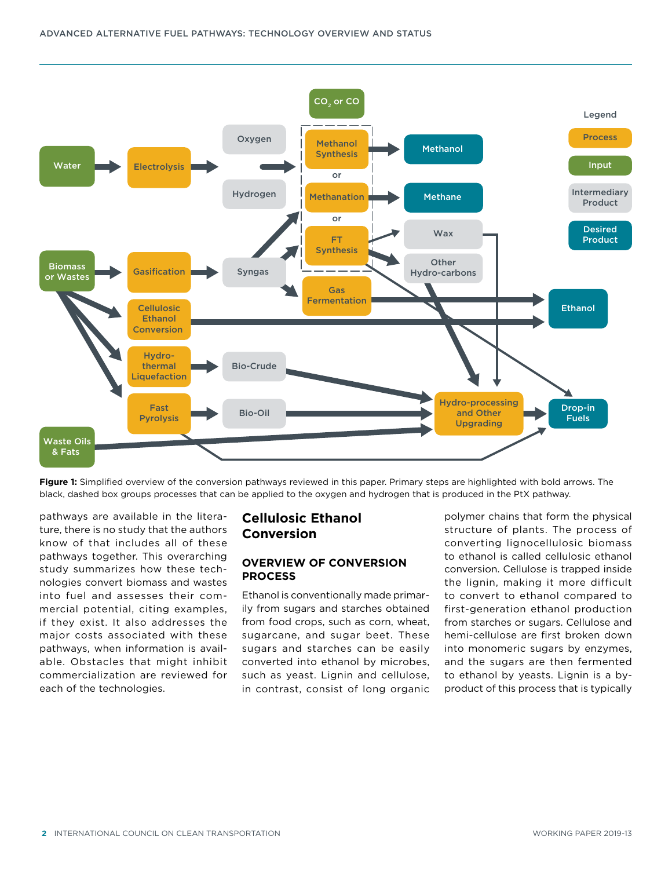

**Figure 1:** Simplified overview of the conversion pathways reviewed in this paper. Primary steps are highlighted with bold arrows. The black, dashed box groups processes that can be applied to the oxygen and hydrogen that is produced in the PtX pathway.

pathways are available in the literature, there is no study that the authors know of that includes all of these pathways together. This overarching study summarizes how these technologies convert biomass and wastes into fuel and assesses their commercial potential, citing examples, if they exist. It also addresses the major costs associated with these pathways, when information is available. Obstacles that might inhibit commercialization are reviewed for each of the technologies.

# **Cellulosic Ethanol Conversion**

#### **OVERVIEW OF CONVERSION PROCESS**

Ethanol is conventionally made primarily from sugars and starches obtained from food crops, such as corn, wheat, sugarcane, and sugar beet. These sugars and starches can be easily converted into ethanol by microbes, such as yeast. Lignin and cellulose, in contrast, consist of long organic

polymer chains that form the physical structure of plants. The process of converting lignocellulosic biomass to ethanol is called cellulosic ethanol conversion. Cellulose is trapped inside the lignin, making it more difficult to convert to ethanol compared to first-generation ethanol production from starches or sugars. Cellulose and hemi-cellulose are first broken down into monomeric sugars by enzymes, and the sugars are then fermented to ethanol by yeasts. Lignin is a byproduct of this process that is typically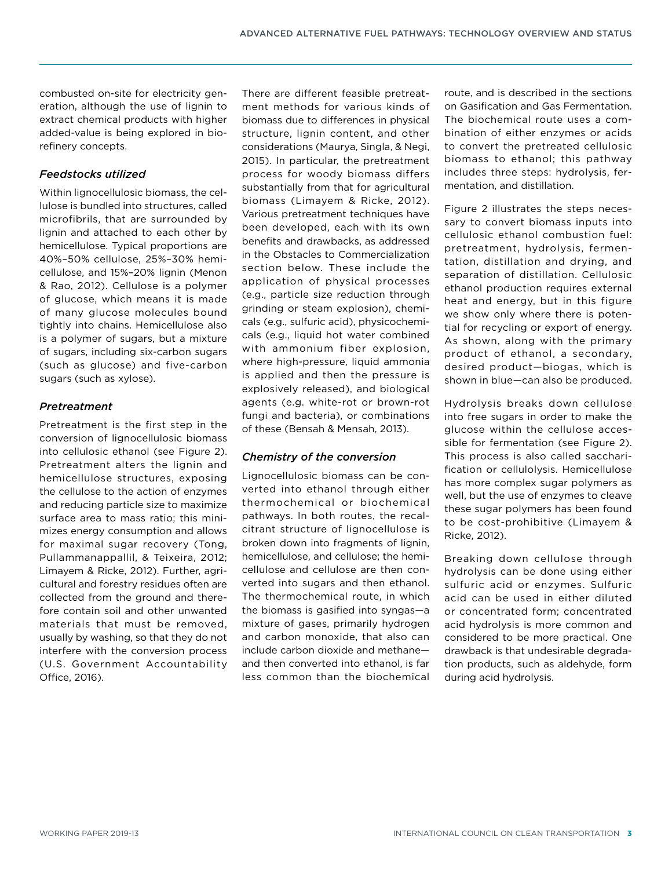combusted on-site for electricity generation, although the use of lignin to extract chemical products with higher added-value is being explored in biorefinery concepts.

## *Feedstocks utilized*

Within lignocellulosic biomass, the cellulose is bundled into structures, called microfibrils, that are surrounded by lignin and attached to each other by hemicellulose. Typical proportions are 40%–50% cellulose, 25%–30% hemicellulose, and 15%–20% lignin (Menon & Rao, 2012). Cellulose is a polymer of glucose, which means it is made of many glucose molecules bound tightly into chains. Hemicellulose also is a polymer of sugars, but a mixture of sugars, including six-carbon sugars (such as glucose) and five-carbon sugars (such as xylose).

## *Pretreatment*

Pretreatment is the first step in the conversion of lignocellulosic biomass into cellulosic ethanol (see Figure 2). Pretreatment alters the lignin and hemicellulose structures, exposing the cellulose to the action of enzymes and reducing particle size to maximize surface area to mass ratio; this minimizes energy consumption and allows for maximal sugar recovery (Tong, Pullammanappallil, & Teixeira, 2012; Limayem & Ricke, 2012). Further, agricultural and forestry residues often are collected from the ground and therefore contain soil and other unwanted materials that must be removed, usually by washing, so that they do not interfere with the conversion process (U.S. Government Accountability Office, 2016).

There are different feasible pretreatment methods for various kinds of biomass due to differences in physical structure, lignin content, and other considerations (Maurya, Singla, & Negi, 2015). In particular, the pretreatment process for woody biomass differs substantially from that for agricultural biomass (Limayem & Ricke, 2012). Various pretreatment techniques have been developed, each with its own benefits and drawbacks, as addressed in the [Obstacles to Commercialization](#page-4-0)  section below. These include the application of physical processes (e.g., particle size reduction through grinding or steam explosion), chemicals (e.g., sulfuric acid), physicochemicals (e.g., liquid hot water combined with ammonium fiber explosion, where high-pressure, liquid ammonia is applied and then the pressure is explosively released), and biological agents (e.g. white-rot or brown-rot fungi and bacteria), or combinations of these (Bensah & Mensah, 2013).

# *Chemistry of the conversion*

Lignocellulosic biomass can be converted into ethanol through either thermochemical or biochemical pathways. In both routes, the recalcitrant structure of lignocellulose is broken down into fragments of lignin, hemicellulose, and cellulose; the hemicellulose and cellulose are then converted into sugars and then ethanol. The thermochemical route, in which the biomass is gasified into syngas—a mixture of gases, primarily hydrogen and carbon monoxide, that also can include carbon dioxide and methane and then converted into ethanol, is far less common than the biochemical route, and is described in the sections on Gasification and Gas Fermentation. The biochemical route uses a combination of either enzymes or acids to convert the pretreated cellulosic biomass to ethanol; this pathway includes three steps: hydrolysis, fermentation, and distillation.

Figure 2 illustrates the steps necessary to convert biomass inputs into cellulosic ethanol combustion fuel: pretreatment, hydrolysis, fermentation, distillation and drying, and separation of distillation. Cellulosic ethanol production requires external heat and energy, but in this figure we show only where there is potential for recycling or export of energy. As shown, along with the primary product of ethanol, a secondary, desired product—biogas, which is shown in blue—can also be produced.

Hydrolysis breaks down cellulose into free sugars in order to make the glucose within the cellulose accessible for fermentation (see Figure 2). This process is also called saccharification or cellulolysis. Hemicellulose has more complex sugar polymers as well, but the use of enzymes to cleave these sugar polymers has been found to be cost-prohibitive (Limayem & Ricke, 2012).

Breaking down cellulose through hydrolysis can be done using either sulfuric acid or enzymes. Sulfuric acid can be used in either diluted or concentrated form; concentrated acid hydrolysis is more common and considered to be more practical. One drawback is that undesirable degradation products, such as aldehyde, form during acid hydrolysis.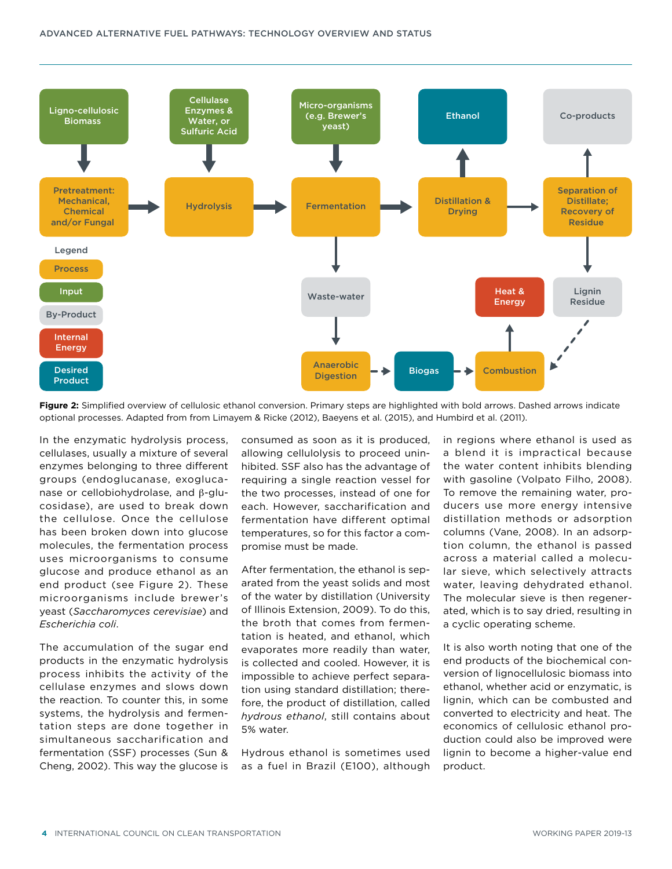

**Figure 2:** Simplified overview of cellulosic ethanol conversion. Primary steps are highlighted with bold arrows. Dashed arrows indicate optional processes. Adapted from from Limayem & Ricke (2012), Baeyens et al. (2015), and Humbird et al. (2011).

In the enzymatic hydrolysis process, cellulases, usually a mixture of several enzymes belonging to three different groups (endoglucanase, exoglucanase or cellobiohydrolase, and  $\beta$ -glucosidase), are used to break down the cellulose. Once the cellulose has been broken down into glucose molecules, the fermentation process uses microorganisms to consume glucose and produce ethanol as an end product (see Figure 2). These microorganisms include brewer's yeast (*Saccharomyces cerevisiae*) and *Escherichia coli*.

The accumulation of the sugar end products in the enzymatic hydrolysis process inhibits the activity of the cellulase enzymes and slows down the reaction. To counter this, in some systems, the hydrolysis and fermentation steps are done together in simultaneous saccharification and fermentation (SSF) processes (Sun & Cheng, 2002). This way the glucose is

consumed as soon as it is produced, allowing cellulolysis to proceed uninhibited. SSF also has the advantage of requiring a single reaction vessel for the two processes, instead of one for each. However, saccharification and fermentation have different optimal temperatures, so for this factor a compromise must be made.

After fermentation, the ethanol is separated from the yeast solids and most of the water by distillation (University of Illinois Extension, 2009). To do this, the broth that comes from fermentation is heated, and ethanol, which evaporates more readily than water, is collected and cooled. However, it is impossible to achieve perfect separation using standard distillation; therefore, the product of distillation, called *hydrous ethanol*, still contains about 5% water.

Hydrous ethanol is sometimes used as a fuel in Brazil (E100), although in regions where ethanol is used as a blend it is impractical because the water content inhibits blending with gasoline (Volpato Filho, 2008). To remove the remaining water, producers use more energy intensive distillation methods or adsorption columns (Vane, 2008). In an adsorption column, the ethanol is passed across a material called a molecular sieve, which selectively attracts water, leaving dehydrated ethanol. The molecular sieve is then regenerated, which is to say dried, resulting in a cyclic operating scheme.

It is also worth noting that one of the end products of the biochemical conversion of lignocellulosic biomass into ethanol, whether acid or enzymatic, is lignin, which can be combusted and converted to electricity and heat. The economics of cellulosic ethanol production could also be improved were lignin to become a higher-value end product.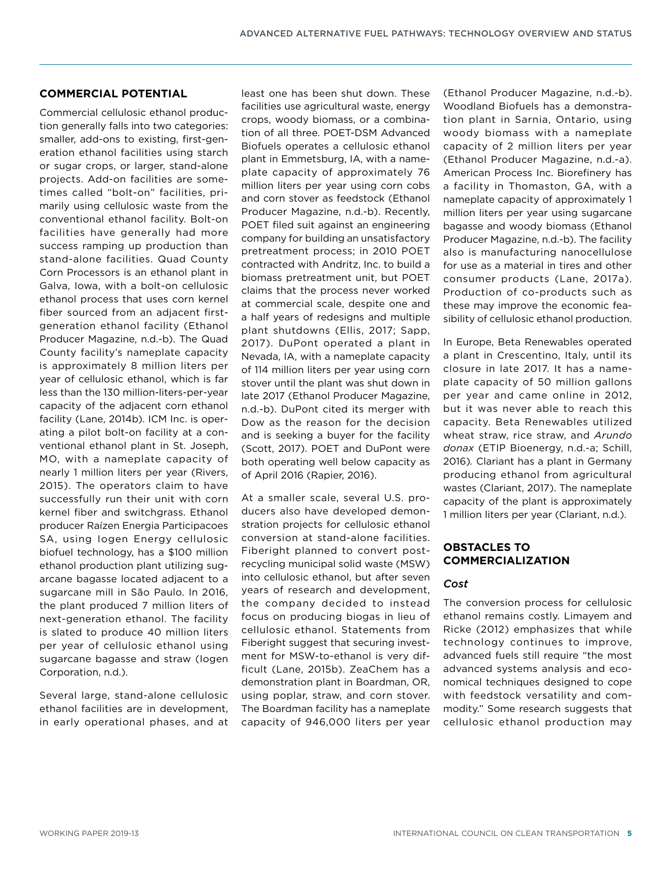#### **COMMERCIAL POTENTIAL**

Commercial cellulosic ethanol production generally falls into two categories: smaller, add-ons to existing, first-generation ethanol facilities using starch or sugar crops, or larger, stand-alone projects. Add-on facilities are sometimes called "bolt-on" facilities, primarily using cellulosic waste from the conventional ethanol facility. Bolt-on facilities have generally had more success ramping up production than stand-alone facilities. Quad County Corn Processors is an ethanol plant in Galva, Iowa, with a bolt-on cellulosic ethanol process that uses corn kernel fiber sourced from an adjacent firstgeneration ethanol facility (Ethanol Producer Magazine, n.d.-b). The Quad County facility's nameplate capacity is approximately 8 million liters per year of cellulosic ethanol, which is far less than the 130 million-liters-per-year capacity of the adjacent corn ethanol facility (Lane, 2014b). ICM Inc. is operating a pilot bolt-on facility at a conventional ethanol plant in St. Joseph, MO, with a nameplate capacity of nearly 1 million liters per year (Rivers, 2015). The operators claim to have successfully run their unit with corn kernel fiber and switchgrass. Ethanol producer Raízen Energia Participacoes SA, using Iogen Energy cellulosic biofuel technology, has a \$100 million ethanol production plant utilizing sugarcane bagasse located adjacent to a sugarcane mill in São Paulo. In 2016, the plant produced 7 million liters of next-generation ethanol. The facility is slated to produce 40 million liters per year of cellulosic ethanol using sugarcane bagasse and straw (Iogen Corporation, n.d.).

Several large, stand-alone cellulosic ethanol facilities are in development, in early operational phases, and at

least one has been shut down. These facilities use agricultural waste, energy crops, woody biomass, or a combination of all three. POET-DSM Advanced Biofuels operates a cellulosic ethanol plant in Emmetsburg, IA, with a nameplate capacity of approximately 76 million liters per year using corn cobs and corn stover as feedstock (Ethanol Producer Magazine, n.d.-b). Recently, POET filed suit against an engineering company for building an unsatisfactory pretreatment process; in 2010 POET contracted with Andritz, Inc. to build a biomass pretreatment unit, but POET claims that the process never worked at commercial scale, despite one and a half years of redesigns and multiple plant shutdowns (Ellis, 2017; Sapp, 2017). DuPont operated a plant in Nevada, IA, with a nameplate capacity of 114 million liters per year using corn stover until the plant was shut down in late 2017 (Ethanol Producer Magazine, n.d.-b). DuPont cited its merger with Dow as the reason for the decision and is seeking a buyer for the facility (Scott, 2017). POET and DuPont were both operating well below capacity as of April 2016 (Rapier, 2016).

At a smaller scale, several U.S. producers also have developed demonstration projects for cellulosic ethanol conversion at stand-alone facilities. Fiberight planned to convert postrecycling municipal solid waste (MSW) into cellulosic ethanol, but after seven years of research and development, the company decided to instead focus on producing biogas in lieu of cellulosic ethanol. Statements from Fiberight suggest that securing investment for MSW-to-ethanol is very difficult (Lane, 2015b). ZeaChem has a demonstration plant in Boardman, OR, using poplar, straw, and corn stover. The Boardman facility has a nameplate capacity of 946,000 liters per year (Ethanol Producer Magazine, n.d.-b). Woodland Biofuels has a demonstration plant in Sarnia, Ontario, using woody biomass with a nameplate capacity of 2 million liters per year (Ethanol Producer Magazine, n.d.-a). American Process Inc. Biorefinery has a facility in Thomaston, GA, with a nameplate capacity of approximately 1 million liters per year using sugarcane bagasse and woody biomass (Ethanol Producer Magazine, n.d.-b). The facility also is manufacturing nanocellulose for use as a material in tires and other consumer products (Lane, 2017a). Production of co-products such as these may improve the economic feasibility of cellulosic ethanol production.

In Europe, Beta Renewables operated a plant in Crescentino, Italy, until its closure in late 2017. It has a nameplate capacity of 50 million gallons per year and came online in 2012, but it was never able to reach this capacity. Beta Renewables utilized wheat straw, rice straw, and *Arundo donax* (ETIP Bioenergy, n.d.-a; Schill, 2016)*.* Clariant has a plant in Germany producing ethanol from agricultural wastes (Clariant, 2017). The nameplate capacity of the plant is approximately 1 million liters per year (Clariant, n.d.).

## <span id="page-4-0"></span>**OBSTACLES TO COMMERCIALIZATION**

#### *Cost*

The conversion process for cellulosic ethanol remains costly. Limayem and Ricke (2012) emphasizes that while technology continues to improve, advanced fuels still require "the most advanced systems analysis and economical techniques designed to cope with feedstock versatility and commodity." Some research suggests that cellulosic ethanol production may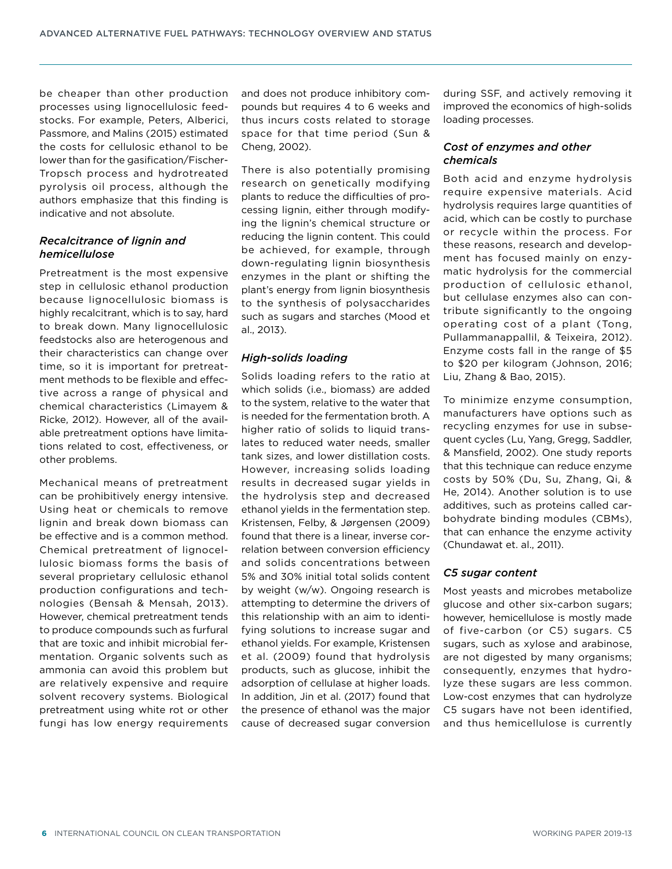be cheaper than other production processes using lignocellulosic feedstocks. For example, Peters, Alberici, Passmore, and Malins (2015) estimated the costs for cellulosic ethanol to be lower than for the gasification/Fischer-Tropsch process and hydrotreated pyrolysis oil process, although the authors emphasize that this finding is indicative and not absolute.

## *Recalcitrance of lignin and hemicellulose*

Pretreatment is the most expensive step in cellulosic ethanol production because lignocellulosic biomass is highly recalcitrant, which is to say, hard to break down. Many lignocellulosic feedstocks also are heterogenous and their characteristics can change over time, so it is important for pretreatment methods to be flexible and effective across a range of physical and chemical characteristics (Limayem & Ricke, 2012). However, all of the available pretreatment options have limitations related to cost, effectiveness, or other problems.

Mechanical means of pretreatment can be prohibitively energy intensive. Using heat or chemicals to remove lignin and break down biomass can be effective and is a common method. Chemical pretreatment of lignocellulosic biomass forms the basis of several proprietary cellulosic ethanol production configurations and technologies (Bensah & Mensah, 2013). However, chemical pretreatment tends to produce compounds such as furfural that are toxic and inhibit microbial fermentation. Organic solvents such as ammonia can avoid this problem but are relatively expensive and require solvent recovery systems. Biological pretreatment using white rot or other fungi has low energy requirements

and does not produce inhibitory compounds but requires 4 to 6 weeks and thus incurs costs related to storage space for that time period (Sun & Cheng, 2002).

There is also potentially promising research on genetically modifying plants to reduce the difficulties of processing lignin, either through modifying the lignin's chemical structure or reducing the lignin content. This could be achieved, for example, through down-regulating lignin biosynthesis enzymes in the plant or shifting the plant's energy from lignin biosynthesis to the synthesis of polysaccharides such as sugars and starches (Mood et al., 2013).

#### *High-solids loading*

Solids loading refers to the ratio at which solids (i.e., biomass) are added to the system, relative to the water that is needed for the fermentation broth. A higher ratio of solids to liquid translates to reduced water needs, smaller tank sizes, and lower distillation costs. However, increasing solids loading results in decreased sugar yields in the hydrolysis step and decreased ethanol yields in the fermentation step. Kristensen, Felby, & Jørgensen (2009) found that there is a linear, inverse correlation between conversion efficiency and solids concentrations between 5% and 30% initial total solids content by weight (w/w). Ongoing research is attempting to determine the drivers of this relationship with an aim to identifying solutions to increase sugar and ethanol yields. For example, Kristensen et al. (2009) found that hydrolysis products, such as glucose, inhibit the adsorption of cellulase at higher loads. In addition, Jin et al. (2017) found that the presence of ethanol was the major cause of decreased sugar conversion

during SSF, and actively removing it improved the economics of high-solids loading processes.

## *Cost of enzymes and other chemicals*

Both acid and enzyme hydrolysis require expensive materials. Acid hydrolysis requires large quantities of acid, which can be costly to purchase or recycle within the process. For these reasons, research and development has focused mainly on enzymatic hydrolysis for the commercial production of cellulosic ethanol, but cellulase enzymes also can contribute significantly to the ongoing operating cost of a plant (Tong, Pullammanappallil, & Teixeira, 2012). Enzyme costs fall in the range of \$5 to \$20 per kilogram (Johnson, 2016; Liu, Zhang & Bao, 2015).

To minimize enzyme consumption, manufacturers have options such as recycling enzymes for use in subsequent cycles (Lu, Yang, Gregg, Saddler, & Mansfield, 2002). One study reports that this technique can reduce enzyme costs by 50% (Du, Su, Zhang, Qi, & He, 2014). Another solution is to use additives, such as proteins called carbohydrate binding modules (CBMs), that can enhance the enzyme activity (Chundawat et. al., 2011).

## *C5 sugar content*

Most yeasts and microbes metabolize glucose and other six-carbon sugars; however, hemicellulose is mostly made of five-carbon (or C5) sugars. C5 sugars, such as xylose and arabinose, are not digested by many organisms; consequently, enzymes that hydrolyze these sugars are less common. Low-cost enzymes that can hydrolyze C5 sugars have not been identified, and thus hemicellulose is currently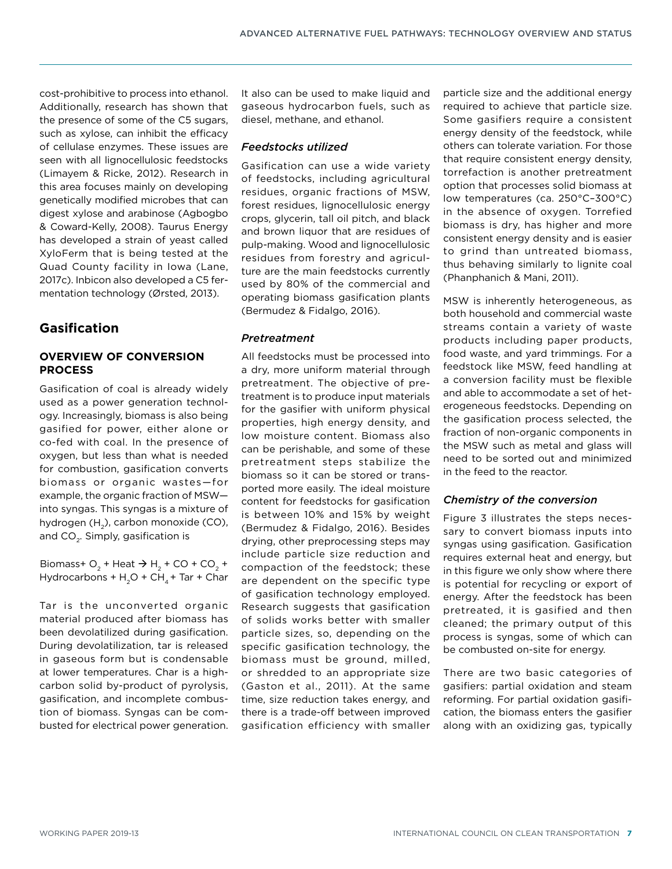cost-prohibitive to process into ethanol. Additionally, research has shown that the presence of some of the C5 sugars, such as xylose, can inhibit the efficacy of cellulase enzymes. These issues are seen with all lignocellulosic feedstocks (Limayem & Ricke, 2012). Research in this area focuses mainly on developing genetically modified microbes that can digest xylose and arabinose (Agbogbo & Coward-Kelly, 2008). Taurus Energy has developed a strain of yeast called XyloFerm that is being tested at the Quad County facility in Iowa (Lane, 2017c). Inbicon also developed a C5 fermentation technology (Ørsted, 2013).

# <span id="page-6-0"></span>**Gasification**

## **OVERVIEW OF CONVERSION PROCESS**

Gasification of coal is already widely used as a power generation technology. Increasingly, biomass is also being gasified for power, either alone or co-fed with coal. In the presence of oxygen, but less than what is needed for combustion, gasification converts biomass or organic wastes—for example, the organic fraction of MSW into syngas. This syngas is a mixture of hydrogen  $(H_2)$ , carbon monoxide (CO), and CO<sub>2</sub>. Simply, gasification is

Biomass+  $O_2$  + Heat  $\rightarrow$  H<sub>2</sub> + CO + CO<sub>2</sub> + Hydrocarbons +  $H_2O$  + CH<sub>4</sub> + Tar + Char

Tar is the unconverted organic material produced after biomass has been devolatilized during gasification. During devolatilization, tar is released in gaseous form but is condensable at lower temperatures. Char is a highcarbon solid by-product of pyrolysis, gasification, and incomplete combustion of biomass. Syngas can be combusted for electrical power generation.

It also can be used to make liquid and gaseous hydrocarbon fuels, such as diesel, methane, and ethanol.

#### *Feedstocks utilized*

Gasification can use a wide variety of feedstocks, including agricultural residues, organic fractions of MSW, forest residues, lignocellulosic energy crops, glycerin, tall oil pitch, and black and brown liquor that are residues of pulp-making. Wood and lignocellulosic residues from forestry and agriculture are the main feedstocks currently used by 80% of the commercial and operating biomass gasification plants (Bermudez & Fidalgo, 2016).

## *Pretreatment*

All feedstocks must be processed into a dry, more uniform material through pretreatment. The objective of pretreatment is to produce input materials for the gasifier with uniform physical properties, high energy density, and low moisture content. Biomass also can be perishable, and some of these pretreatment steps stabilize the biomass so it can be stored or transported more easily. The ideal moisture content for feedstocks for gasification is between 10% and 15% by weight (Bermudez & Fidalgo, 2016). Besides drying, other preprocessing steps may include particle size reduction and compaction of the feedstock; these are dependent on the specific type of gasification technology employed. Research suggests that gasification of solids works better with smaller particle sizes, so, depending on the specific gasification technology, the biomass must be ground, milled, or shredded to an appropriate size (Gaston et al., 2011). At the same time, size reduction takes energy, and there is a trade-off between improved gasification efficiency with smaller particle size and the additional energy required to achieve that particle size. Some gasifiers require a consistent energy density of the feedstock, while others can tolerate variation. For those that require consistent energy density, torrefaction is another pretreatment option that processes solid biomass at low temperatures (ca. 250°C–300°C) in the absence of oxygen. Torrefied biomass is dry, has higher and more consistent energy density and is easier to grind than untreated biomass, thus behaving similarly to lignite coal (Phanphanich & Mani, 2011).

MSW is inherently heterogeneous, as both household and commercial waste streams contain a variety of waste products including paper products, food waste, and yard trimmings. For a feedstock like MSW, feed handling at a conversion facility must be flexible and able to accommodate a set of heterogeneous feedstocks. Depending on the gasification process selected, the fraction of non-organic components in the MSW such as metal and glass will need to be sorted out and minimized in the feed to the reactor.

## *Chemistry of the conversion*

Figure 3 illustrates the steps necessary to convert biomass inputs into syngas using gasification. Gasification requires external heat and energy, but in this figure we only show where there is potential for recycling or export of energy. After the feedstock has been pretreated, it is gasified and then cleaned; the primary output of this process is syngas, some of which can be combusted on-site for energy.

There are two basic categories of gasifiers: partial oxidation and steam reforming. For partial oxidation gasification, the biomass enters the gasifier along with an oxidizing gas, typically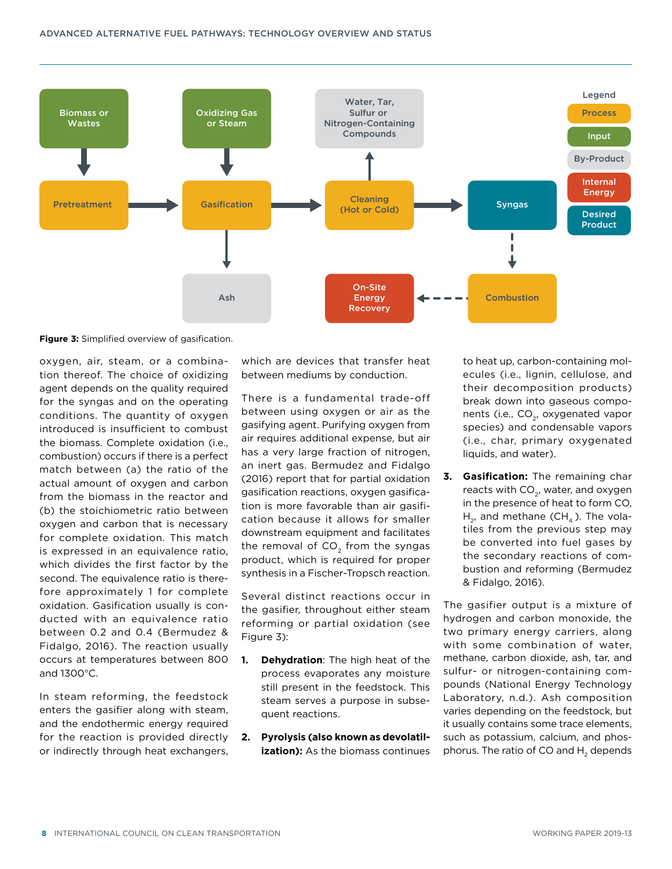

**Figure 3:** Simplified overview of gasification.

oxygen, air, steam, or a combination thereof. The choice of oxidizing agent depends on the quality required for the syngas and on the operating conditions. The quantity of oxygen introduced is insufficient to combust the biomass. Complete oxidation (i.e., combustion) occurs if there is a perfect match between (a) the ratio of the actual amount of oxygen and carbon from the biomass in the reactor and (b) the stoichiometric ratio between oxygen and carbon that is necessary for complete oxidation. This match is expressed in an equivalence ratio, which divides the first factor by the second. The equivalence ratio is therefore approximately 1 for complete oxidation. Gasification usually is conducted with an equivalence ratio between 0.2 and 0.4 (Bermudez & Fidalgo, 2016). The reaction usually occurs at temperatures between 800 and 1300°C.

In steam reforming, the feedstock enters the gasifier along with steam, and the endothermic energy required for the reaction is provided directly or indirectly through heat exchangers,

which are devices that transfer heat between mediums by conduction.

There is a fundamental trade-off between using oxygen or air as the gasifying agent. Purifying oxygen from air requires additional expense, but air has a very large fraction of nitrogen, an inert gas. Bermudez and Fidalgo (2016) report that for partial oxidation gasification reactions, oxygen gasification is more favorable than air gasification because it allows for smaller downstream equipment and facilitates the removal of  $CO<sub>2</sub>$  from the syngas product, which is required for proper synthesis in a Fischer-Tropsch reaction.

Several distinct reactions occur in the gasifier, throughout either steam reforming or partial oxidation (see Figure 3):

- **1. Dehydration**: The high heat of the process evaporates any moisture still present in the feedstock. This steam serves a purpose in subsequent reactions.
- **2. Pyrolysis (also known as devolatilization):** As the biomass continues

to heat up, carbon-containing molecules (i.e., lignin, cellulose, and their decomposition products) break down into gaseous components (i.e., CO<sub>2</sub>, oxygenated vapor species) and condensable vapors (i.e., char, primary oxygenated liquids, and water).

**3. Gasification:** The remaining char reacts with  $CO<sub>2</sub>$ , water, and oxygen in the presence of heat to form CO,  $H_2$ , and methane (CH<sub>4</sub>). The volatiles from the previous step may be converted into fuel gases by the secondary reactions of combustion and reforming (Bermudez & Fidalgo, 2016).

The gasifier output is a mixture of hydrogen and carbon monoxide, the two primary energy carriers, along with some combination of water, methane, carbon dioxide, ash, tar, and sulfur- or nitrogen-containing compounds (National Energy Technology Laboratory, n.d.). Ash composition varies depending on the feedstock, but it usually contains some trace elements, such as potassium, calcium, and phosphorus. The ratio of CO and H<sub>2</sub> depends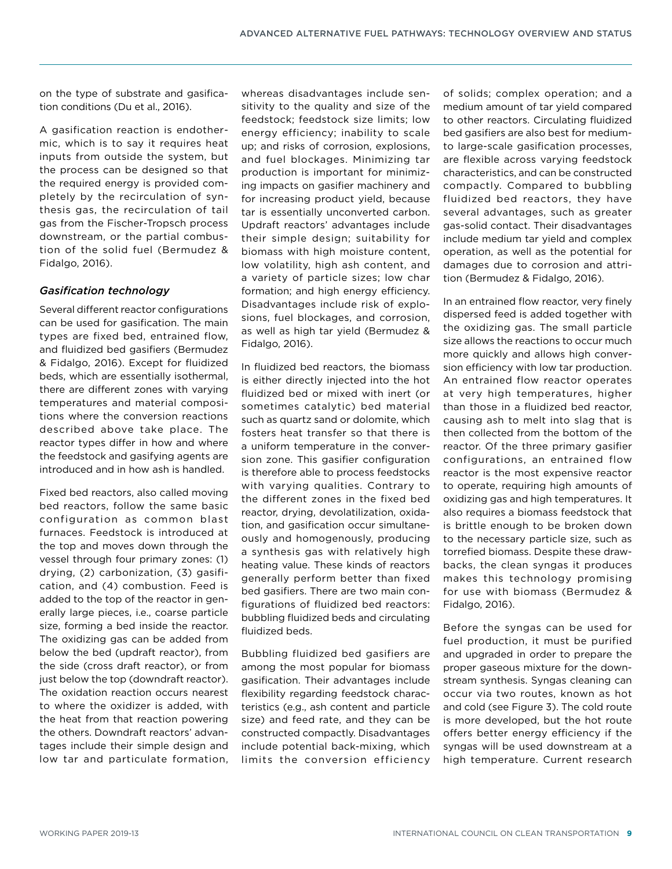on the type of substrate and gasification conditions (Du et al., 2016).

A gasification reaction is endothermic, which is to say it requires heat inputs from outside the system, but the process can be designed so that the required energy is provided completely by the recirculation of synthesis gas, the recirculation of tail gas from the Fischer-Tropsch process downstream, or the partial combustion of the solid fuel (Bermudez & Fidalgo, 2016).

## *Gasification technology*

Several different reactor configurations can be used for gasification. The main types are fixed bed, entrained flow, and fluidized bed gasifiers (Bermudez & Fidalgo, 2016). Except for fluidized beds, which are essentially isothermal, there are different zones with varying temperatures and material compositions where the conversion reactions described above take place. The reactor types differ in how and where the feedstock and gasifying agents are introduced and in how ash is handled.

Fixed bed reactors, also called moving bed reactors, follow the same basic configuration as common blast furnaces. Feedstock is introduced at the top and moves down through the vessel through four primary zones: (1) drying, (2) carbonization, (3) gasification, and (4) combustion. Feed is added to the top of the reactor in generally large pieces, i.e., coarse particle size, forming a bed inside the reactor. The oxidizing gas can be added from below the bed (updraft reactor), from the side (cross draft reactor), or from just below the top (downdraft reactor). The oxidation reaction occurs nearest to where the oxidizer is added, with the heat from that reaction powering the others. Downdraft reactors' advantages include their simple design and low tar and particulate formation,

whereas disadvantages include sensitivity to the quality and size of the feedstock; feedstock size limits; low energy efficiency; inability to scale up; and risks of corrosion, explosions, and fuel blockages. Minimizing tar production is important for minimizing impacts on gasifier machinery and for increasing product yield, because tar is essentially unconverted carbon. Updraft reactors' advantages include their simple design; suitability for biomass with high moisture content, low volatility, high ash content, and a variety of particle sizes; low char formation; and high energy efficiency. Disadvantages include risk of explosions, fuel blockages, and corrosion, as well as high tar yield (Bermudez & Fidalgo, 2016).

In fluidized bed reactors, the biomass is either directly injected into the hot fluidized bed or mixed with inert (or sometimes catalytic) bed material such as quartz sand or dolomite, which fosters heat transfer so that there is a uniform temperature in the conversion zone. This gasifier configuration is therefore able to process feedstocks with varying qualities. Contrary to the different zones in the fixed bed reactor, drying, devolatilization, oxidation, and gasification occur simultaneously and homogenously, producing a synthesis gas with relatively high heating value. These kinds of reactors generally perform better than fixed bed gasifiers. There are two main configurations of fluidized bed reactors: bubbling fluidized beds and circulating fluidized beds.

Bubbling fluidized bed gasifiers are among the most popular for biomass gasification. Their advantages include flexibility regarding feedstock characteristics (e.g., ash content and particle size) and feed rate, and they can be constructed compactly. Disadvantages include potential back-mixing, which limits the conversion efficiency of solids; complex operation; and a medium amount of tar yield compared to other reactors. Circulating fluidized bed gasifiers are also best for mediumto large-scale gasification processes, are flexible across varying feedstock characteristics, and can be constructed compactly. Compared to bubbling fluidized bed reactors, they have several advantages, such as greater gas-solid contact. Their disadvantages include medium tar yield and complex operation, as well as the potential for damages due to corrosion and attrition (Bermudez & Fidalgo, 2016).

In an entrained flow reactor, very finely dispersed feed is added together with the oxidizing gas. The small particle size allows the reactions to occur much more quickly and allows high conversion efficiency with low tar production. An entrained flow reactor operates at very high temperatures, higher than those in a fluidized bed reactor, causing ash to melt into slag that is then collected from the bottom of the reactor. Of the three primary gasifier configurations, an entrained flow reactor is the most expensive reactor to operate, requiring high amounts of oxidizing gas and high temperatures. It also requires a biomass feedstock that is brittle enough to be broken down to the necessary particle size, such as torrefied biomass. Despite these drawbacks, the clean syngas it produces makes this technology promising for use with biomass (Bermudez & Fidalgo, 2016).

Before the syngas can be used for fuel production, it must be purified and upgraded in order to prepare the proper gaseous mixture for the downstream synthesis. Syngas cleaning can occur via two routes, known as hot and cold (see Figure 3). The cold route is more developed, but the hot route offers better energy efficiency if the syngas will be used downstream at a high temperature. Current research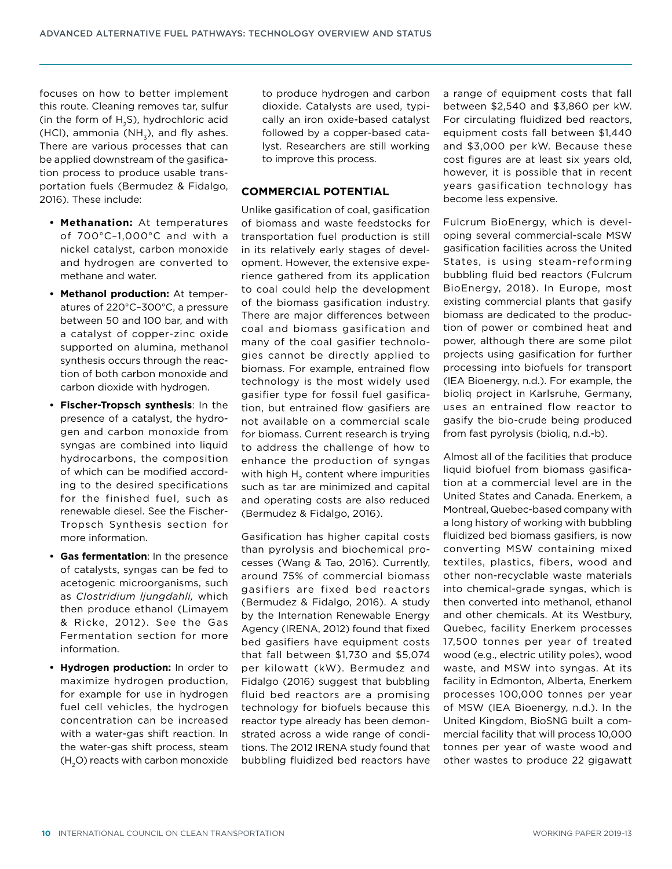focuses on how to better implement this route. Cleaning removes tar, sulfur (in the form of H<sub>2</sub>S), hydrochloric acid (HCl), ammonia (NH $_2$ ), and fly ashes. There are various processes that can be applied downstream of the gasification process to produce usable transportation fuels (Bermudez & Fidalgo, 2016). These include:

- **• Methanation:** At temperatures of 700°C–1,000°C and with a nickel catalyst, carbon monoxide and hydrogen are converted to methane and water.
- **• Methanol production:** At temperatures of 220°C–300°C, a pressure between 50 and 100 bar, and with a catalyst of copper-zinc oxide supported on alumina, methanol synthesis occurs through the reaction of both carbon monoxide and carbon dioxide with hydrogen.
- **• Fischer-Tropsch synthesis**: In the presence of a catalyst, the hydrogen and carbon monoxide from syngas are combined into liquid hydrocarbons, the composition of which can be modified according to the desired specifications for the finished fuel, such as renewable diesel. See the Fischer-Tropsch Synthesis section for more information.
- **• Gas fermentation**: In the presence of catalysts, syngas can be fed to acetogenic microorganisms, such as *Clostridium ljungdahli,* which then produce ethanol (Limayem & Ricke, 2012). See the Gas Fermentation section for more information.
- **• Hydrogen production:** In order to maximize hydrogen production, for example for use in hydrogen fuel cell vehicles, the hydrogen concentration can be increased with a water-gas shift reaction. In the water-gas shift process, steam  $(H<sub>2</sub>O)$  reacts with carbon monoxide

to produce hydrogen and carbon dioxide. Catalysts are used, typically an iron oxide-based catalyst followed by a copper-based catalyst. Researchers are still working to improve this process.

#### **COMMERCIAL POTENTIAL**

Unlike gasification of coal, gasification of biomass and waste feedstocks for transportation fuel production is still in its relatively early stages of development. However, the extensive experience gathered from its application to coal could help the development of the biomass gasification industry. There are major differences between coal and biomass gasification and many of the coal gasifier technologies cannot be directly applied to biomass. For example, entrained flow technology is the most widely used gasifier type for fossil fuel gasification, but entrained flow gasifiers are not available on a commercial scale for biomass. Current research is trying to address the challenge of how to enhance the production of syngas with high  $H<sub>2</sub>$  content where impurities such as tar are minimized and capital and operating costs are also reduced (Bermudez & Fidalgo, 2016).

Gasification has higher capital costs than pyrolysis and biochemical processes (Wang & Tao, 2016). Currently, around 75% of commercial biomass gasifiers are fixed bed reactors (Bermudez & Fidalgo, 2016). A study by the Internation Renewable Energy Agency (IRENA, 2012) found that fixed bed gasifiers have equipment costs that fall between \$1,730 and \$5,074 per kilowatt (kW). Bermudez and Fidalgo (2016) suggest that bubbling fluid bed reactors are a promising technology for biofuels because this reactor type already has been demonstrated across a wide range of conditions. The 2012 IRENA study found that bubbling fluidized bed reactors have a range of equipment costs that fall between \$2,540 and \$3,860 per kW. For circulating fluidized bed reactors, equipment costs fall between \$1,440 and \$3,000 per kW. Because these cost figures are at least six years old, however, it is possible that in recent years gasification technology has become less expensive.

Fulcrum BioEnergy, which is developing several commercial-scale MSW gasification facilities across the United States, is using steam-reforming bubbling fluid bed reactors (Fulcrum BioEnergy, 2018). In Europe, most existing commercial plants that gasify biomass are dedicated to the production of power or combined heat and power, although there are some pilot projects using gasification for further processing into biofuels for transport (IEA Bioenergy, n.d.). For example, the bioliq project in Karlsruhe, Germany, uses an entrained flow reactor to gasify the bio-crude being produced from fast pyrolysis (bioliq, n.d.-b).

Almost all of the facilities that produce liquid biofuel from biomass gasification at a commercial level are in the United States and Canada. Enerkem, a Montreal, Quebec-based company with a long history of working with bubbling fluidized bed biomass gasifiers, is now converting MSW containing mixed textiles, plastics, fibers, wood and other non-recyclable waste materials into chemical-grade syngas, which is then converted into methanol, ethanol and other chemicals. At its Westbury, Quebec, facility Enerkem processes 17,500 tonnes per year of treated wood (e.g., electric utility poles), wood waste, and MSW into syngas. At its facility in Edmonton, Alberta, Enerkem processes 100,000 tonnes per year of MSW (IEA Bioenergy, n.d.). In the United Kingdom, BioSNG built a commercial facility that will process 10,000 tonnes per year of waste wood and other wastes to produce 22 gigawatt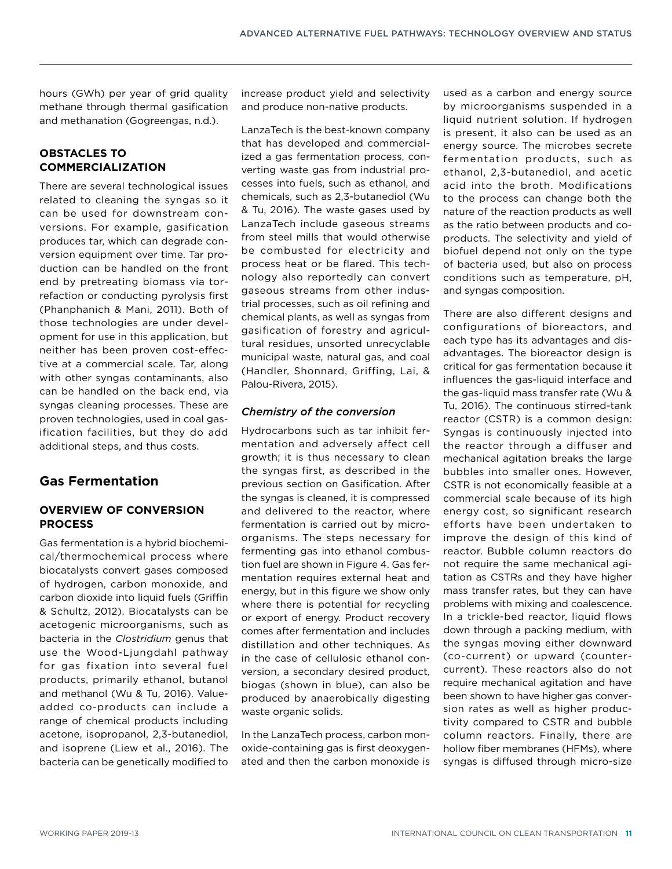hours (GWh) per year of grid quality methane through thermal gasification and methanation (Gogreengas, n.d.).

## **OBSTACLES TO COMMERCIALIZATION**

There are several technological issues related to cleaning the syngas so it can be used for downstream conversions. For example, gasification produces tar, which can degrade conversion equipment over time. Tar production can be handled on the front end by pretreating biomass via torrefaction or conducting pyrolysis first (Phanphanich & Mani, 2011). Both of those technologies are under development for use in this application, but neither has been proven cost-effective at a commercial scale. Tar, along with other syngas contaminants, also can be handled on the back end, via syngas cleaning processes. These are proven technologies, used in coal gasification facilities, but they do add additional steps, and thus costs.

# **Gas Fermentation**

## **OVERVIEW OF CONVERSION PROCESS**

Gas fermentation is a hybrid biochemical/thermochemical process where biocatalysts convert gases composed of hydrogen, carbon monoxide, and carbon dioxide into liquid fuels (Griffin & Schultz, 2012). Biocatalysts can be acetogenic microorganisms, such as bacteria in the *Clostridium* genus that use the Wood-Ljungdahl pathway for gas fixation into several fuel products, primarily ethanol, butanol and methanol (Wu & Tu, 2016). Valueadded co-products can include a range of chemical products including acetone, isopropanol, 2,3-butanediol, and isoprene (Liew et al., 2016). The bacteria can be genetically modified to

increase product yield and selectivity and produce non-native products.

LanzaTech is the best-known company that has developed and commercialized a gas fermentation process, converting waste gas from industrial processes into fuels, such as ethanol, and chemicals, such as 2,3-butanediol (Wu & Tu, 2016). The waste gases used by LanzaTech include gaseous streams from steel mills that would otherwise be combusted for electricity and process heat or be flared. This technology also reportedly can convert gaseous streams from other industrial processes, such as oil refining and chemical plants, as well as syngas from gasification of forestry and agricultural residues, unsorted unrecyclable municipal waste, natural gas, and coal (Handler, Shonnard, Griffing, Lai, & Palou-Rivera, 2015).

## *Chemistry of the conversion*

Hydrocarbons such as tar inhibit fermentation and adversely affect cell growth; it is thus necessary to clean the syngas first, as described in the previous section on Gasification. After the syngas is cleaned, it is compressed and delivered to the reactor, where fermentation is carried out by microorganisms. The steps necessary for fermenting gas into ethanol combustion fuel are shown in Figure 4. Gas fermentation requires external heat and energy, but in this figure we show only where there is potential for recycling or export of energy. Product recovery comes after fermentation and includes distillation and other techniques. As in the case of cellulosic ethanol conversion, a secondary desired product, biogas (shown in blue), can also be produced by anaerobically digesting waste organic solids.

In the LanzaTech process, carbon monoxide-containing gas is first deoxygenated and then the carbon monoxide is used as a carbon and energy source by microorganisms suspended in a liquid nutrient solution. If hydrogen is present, it also can be used as an energy source. The microbes secrete fermentation products, such as ethanol, 2,3-butanediol, and acetic acid into the broth. Modifications to the process can change both the nature of the reaction products as well as the ratio between products and coproducts. The selectivity and yield of biofuel depend not only on the type of bacteria used, but also on process conditions such as temperature, pH, and syngas composition.

There are also different designs and configurations of bioreactors, and each type has its advantages and disadvantages. The bioreactor design is critical for gas fermentation because it influences the gas-liquid interface and the gas-liquid mass transfer rate (Wu & Tu, 2016). The continuous stirred-tank reactor (CSTR) is a common design: Syngas is continuously injected into the reactor through a diffuser and mechanical agitation breaks the large bubbles into smaller ones. However, CSTR is not economically feasible at a commercial scale because of its high energy cost, so significant research efforts have been undertaken to improve the design of this kind of reactor. Bubble column reactors do not require the same mechanical agitation as CSTRs and they have higher mass transfer rates, but they can have problems with mixing and coalescence. In a trickle-bed reactor, liquid flows down through a packing medium, with the syngas moving either downward (co-current) or upward (countercurrent). These reactors also do not require mechanical agitation and have been shown to have higher gas conversion rates as well as higher productivity compared to CSTR and bubble column reactors. Finally, there are hollow fiber membranes (HFMs), where syngas is diffused through micro-size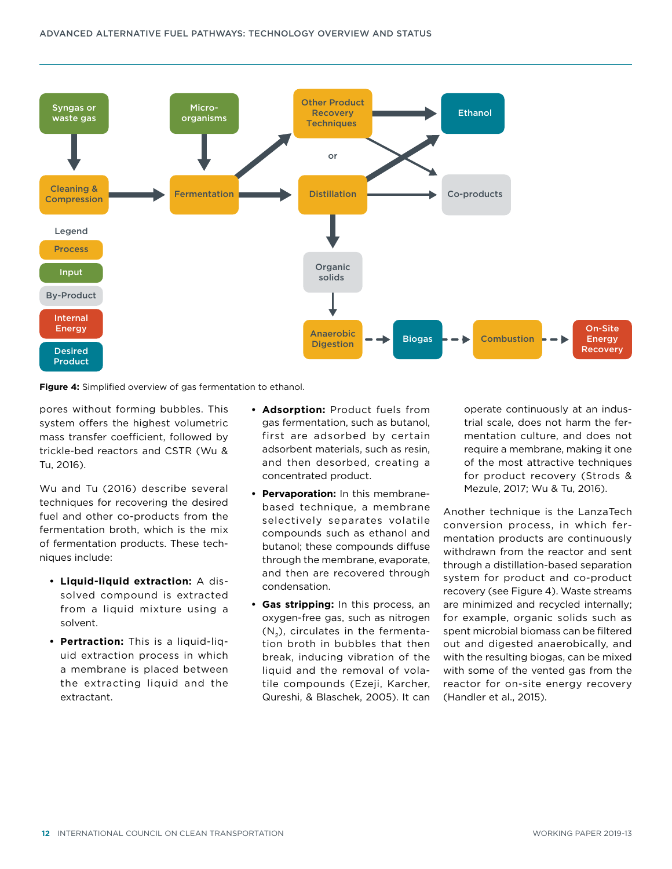

**Figure 4:** Simplified overview of gas fermentation to ethanol.

pores without forming bubbles. This system offers the highest volumetric mass transfer coefficient, followed by trickle-bed reactors and CSTR (Wu & Tu, 2016).

Wu and Tu (2016) describe several techniques for recovering the desired fuel and other co-products from the fermentation broth, which is the mix of fermentation products. These techniques include:

- **• Liquid-liquid extraction:** A dissolved compound is extracted from a liquid mixture using a solvent.
- **• Pertraction:** This is a liquid-liquid extraction process in which a membrane is placed between the extracting liquid and the extractant.
- **• Adsorption:** Product fuels from gas fermentation, such as butanol, first are adsorbed by certain adsorbent materials, such as resin, and then desorbed, creating a concentrated product.
- **• Pervaporation:** In this membranebased technique, a membrane selectively separates volatile compounds such as ethanol and butanol; these compounds diffuse through the membrane, evaporate, and then are recovered through condensation.
- **• Gas stripping:** In this process, an oxygen-free gas, such as nitrogen  $(N<sub>2</sub>)$ , circulates in the fermentation broth in bubbles that then break, inducing vibration of the liquid and the removal of volatile compounds (Ezeji, Karcher, Qureshi, & Blaschek, 2005). It can

operate continuously at an industrial scale, does not harm the fermentation culture, and does not require a membrane, making it one of the most attractive techniques for product recovery (Strods & Mezule, 2017; Wu & Tu, 2016).

Another technique is the LanzaTech conversion process, in which fermentation products are continuously withdrawn from the reactor and sent through a distillation-based separation system for product and co-product recovery (see Figure 4). Waste streams are minimized and recycled internally; for example, organic solids such as spent microbial biomass can be filtered out and digested anaerobically, and with the resulting biogas, can be mixed with some of the vented gas from the reactor for on-site energy recovery (Handler et al., 2015).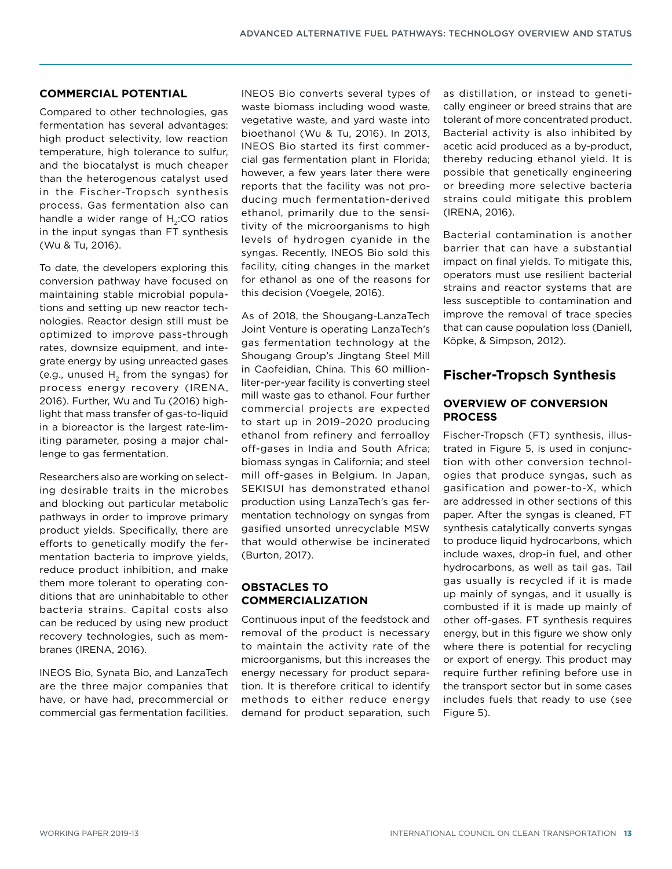#### **COMMERCIAL POTENTIAL**

Compared to other technologies, gas fermentation has several advantages: high product selectivity, low reaction temperature, high tolerance to sulfur, and the biocatalyst is much cheaper than the heterogenous catalyst used in the Fischer-Tropsch synthesis process. Gas fermentation also can handle a wider range of H<sub>2</sub>:CO ratios in the input syngas than FT synthesis (Wu & Tu, 2016).

To date, the developers exploring this conversion pathway have focused on maintaining stable microbial populations and setting up new reactor technologies. Reactor design still must be optimized to improve pass-through rates, downsize equipment, and integrate energy by using unreacted gases (e.g., unused  $H_2$  from the syngas) for process energy recovery (IRENA, 2016). Further, Wu and Tu (2016) highlight that mass transfer of gas-to-liquid in a bioreactor is the largest rate-limiting parameter, posing a major challenge to gas fermentation.

Researchers also are working on selecting desirable traits in the microbes and blocking out particular metabolic pathways in order to improve primary product yields. Specifically, there are efforts to genetically modify the fermentation bacteria to improve yields, reduce product inhibition, and make them more tolerant to operating conditions that are uninhabitable to other bacteria strains. Capital costs also can be reduced by using new product recovery technologies, such as membranes (IRENA, 2016).

INEOS Bio, Synata Bio, and LanzaTech are the three major companies that have, or have had, precommercial or commercial gas fermentation facilities.

INEOS Bio converts several types of waste biomass including wood waste, vegetative waste, and yard waste into bioethanol (Wu & Tu, 2016). In 2013, INEOS Bio started its first commercial gas fermentation plant in Florida; however, a few years later there were reports that the facility was not producing much fermentation-derived ethanol, primarily due to the sensitivity of the microorganisms to high levels of hydrogen cyanide in the syngas. Recently, INEOS Bio sold this facility, citing changes in the market for ethanol as one of the reasons for this decision (Voegele, 2016).

As of 2018, the Shougang-LanzaTech Joint Venture is operating LanzaTech's gas fermentation technology at the Shougang Group's Jingtang Steel Mill in Caofeidian, China. This 60 millionliter-per-year facility is converting steel mill waste gas to ethanol. Four further commercial projects are expected to start up in 2019–2020 producing ethanol from refinery and ferroalloy off-gases in India and South Africa; biomass syngas in California; and steel mill off-gases in Belgium. In Japan, SEKISUI has demonstrated ethanol production using LanzaTech's gas fermentation technology on syngas from gasified unsorted unrecyclable MSW that would otherwise be incinerated (Burton, 2017).

## **OBSTACLES TO COMMERCIALIZATION**

Continuous input of the feedstock and removal of the product is necessary to maintain the activity rate of the microorganisms, but this increases the energy necessary for product separation. It is therefore critical to identify methods to either reduce energy demand for product separation, such as distillation, or instead to genetically engineer or breed strains that are tolerant of more concentrated product. Bacterial activity is also inhibited by acetic acid produced as a by-product, thereby reducing ethanol yield. It is possible that genetically engineering or breeding more selective bacteria strains could mitigate this problem (IRENA, 2016).

Bacterial contamination is another barrier that can have a substantial impact on final yields. To mitigate this, operators must use resilient bacterial strains and reactor systems that are less susceptible to contamination and improve the removal of trace species that can cause population loss (Daniell, Köpke, & Simpson, 2012).

# <span id="page-12-0"></span>**Fischer-Tropsch Synthesis**

## **OVERVIEW OF CONVERSION PROCESS**

Fischer-Tropsch (FT) synthesis, illustrated in Figure 5, is used in conjunction with other conversion technologies that produce syngas, such as [g](#page-6-0)asification and power-to-X, which are addressed in other sections of this paper. After the syngas is cleaned, FT synthesis catalytically converts syngas to produce liquid hydrocarbons, which include waxes, drop-in fuel, and other hydrocarbons, as well as tail gas. Tail gas usually is recycled if it is made up mainly of syngas, and it usually is combusted if it is made up mainly of other off-gases. FT synthesis requires energy, but in this figure we show only where there is potential for recycling or export of energy. This product may require further refining before use in the transport sector but in some cases includes fuels that ready to use (see Figure 5).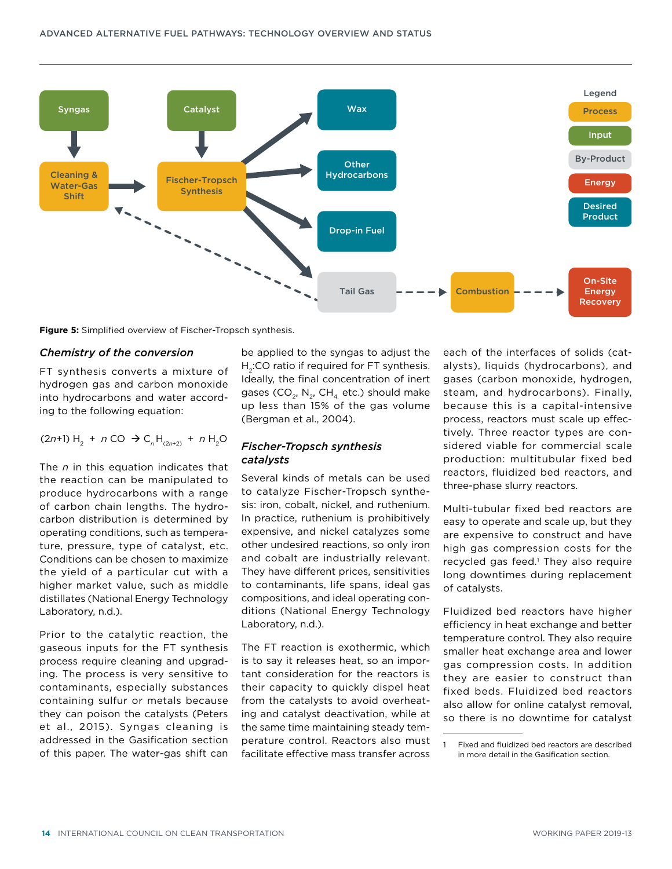

**Figure 5:** Simplified overview of Fischer-Tropsch synthesis.

#### *Chemistry of the conversion*

FT synthesis converts a mixture of hydrogen gas and carbon monoxide into hydrocarbons and water according to the following equation:

 $(2n+1)$  H<sub>2</sub> + *n* CO  $\rightarrow$  C<sub>*n*</sub> H<sub>(2*n*+2)</sub> + *n* H<sub>2</sub>O

The *n* in this equation indicates that the reaction can be manipulated to produce hydrocarbons with a range of carbon chain lengths. The hydrocarbon distribution is determined by operating conditions, such as temperature, pressure, type of catalyst, etc. Conditions can be chosen to maximize the yield of a particular cut with a higher market value, such as middle distillates (National Energy Technology Laboratory, n.d.).

Prior to the catalytic reaction, the gaseous inputs for the FT synthesis process require cleaning and upgrading. The process is very sensitive to contaminants, especially substances containing sulfur or metals because they can poison the catalysts (Peters et al., 2015). Syngas cleaning is addressed in the [Gasification](#page-6-0) section of this paper. The water-gas shift can

be applied to the syngas to adjust the  $H<sub>2</sub>:CO$  ratio if required for FT synthesis. Ideally, the final concentration of inert gases (CO<sub>2</sub>, N<sub>2</sub>, CH<sub>4</sub> etc.) should make up less than 15% of the gas volume (Bergman et al., 2004).

## *Fischer-Tropsch synthesis catalysts*

Several kinds of metals can be used to catalyze Fischer-Tropsch synthesis: iron, cobalt, nickel, and ruthenium. In practice, ruthenium is prohibitively expensive, and nickel catalyzes some other undesired reactions, so only iron and cobalt are industrially relevant. They have different prices, sensitivities to contaminants, life spans, ideal gas compositions, and ideal operating conditions (National Energy Technology Laboratory, n.d.).

The FT reaction is exothermic, which is to say it releases heat, so an important consideration for the reactors is their capacity to quickly dispel heat from the catalysts to avoid overheating and catalyst deactivation, while at the same time maintaining steady temperature control. Reactors also must facilitate effective mass transfer across each of the interfaces of solids (catalysts), liquids (hydrocarbons), and gases (carbon monoxide, hydrogen, steam, and hydrocarbons). Finally, because this is a capital-intensive process, reactors must scale up effectively. Three reactor types are considered viable for commercial scale production: multitubular fixed bed reactors, fluidized bed reactors, and three-phase slurry reactors.

Multi-tubular fixed bed reactors are easy to operate and scale up, but they are expensive to construct and have high gas compression costs for the recycled gas feed.<sup>1</sup> They also require long downtimes during replacement of catalysts.

Fluidized bed reactors have higher efficiency in heat exchange and better temperature control. They also require smaller heat exchange area and lower gas compression costs. In addition they are easier to construct than fixed beds. Fluidized bed reactors also allow for online catalyst removal, so there is no downtime for catalyst

Fixed and fluidized bed reactors are described in more detail in the [Gasification](#page-6-0) section.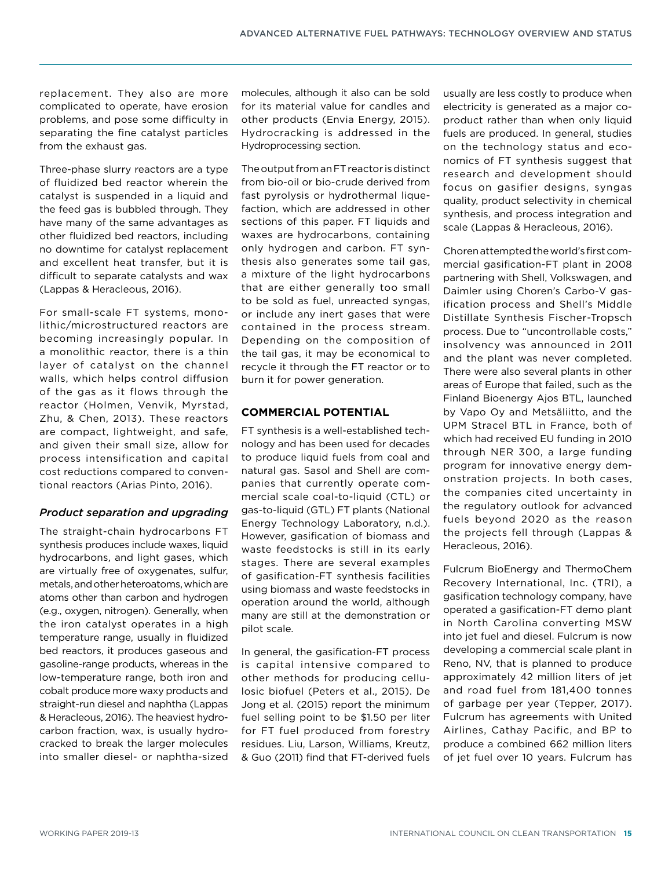replacement. They also are more complicated to operate, have erosion problems, and pose some difficulty in separating the fine catalyst particles from the exhaust gas.

Three-phase slurry reactors are a type of fluidized bed reactor wherein the catalyst is suspended in a liquid and the feed gas is bubbled through. They have many of the same advantages as other fluidized bed reactors, including no downtime for catalyst replacement and excellent heat transfer, but it is difficult to separate catalysts and wax (Lappas & Heracleous, 2016).

For small-scale FT systems, monolithic/microstructured reactors are becoming increasingly popular. In a monolithic reactor, there is a thin layer of catalyst on the channel walls, which helps control diffusion of the gas as it flows through the reactor (Holmen, Venvik, Myrstad, Zhu, & Chen, 2013). These reactors are compact, lightweight, and safe, and given their small size, allow for process intensification and capital cost reductions compared to conventional reactors (Arias Pinto, 2016).

## *Product separation and upgrading*

The straight-chain hydrocarbons FT synthesis produces include waxes, liquid hydrocarbons, and light gases, which are virtually free of oxygenates, sulfur, metals, and other heteroatoms, which are atoms other than carbon and hydrogen (e.g., oxygen, nitrogen). Generally, when the iron catalyst operates in a high temperature range, usually in fluidized bed reactors, it produces gaseous and gasoline-range products, whereas in the low-temperature range, both iron and cobalt produce more waxy products and straight-run diesel and naphtha (Lappas & Heracleous, 2016). The heaviest hydrocarbon fraction, wax, is usually hydrocracked to break the larger molecules into smaller diesel- or naphtha-sized molecules, although it also can be sold for its material value for candles and other products (Envia Energy, 2015). Hydrocracking is addressed in the Hydroprocessing section.

The output from an FT reactor is distinct from bio-oil or bio-crude derived from fast pyrolysis or hydrothermal liquefaction, which are addressed in other sections of this paper. FT liquids and waxes are hydrocarbons, containing only hydrogen and carbon. FT synthesis also generates some tail gas, a mixture of the light hydrocarbons that are either generally too small to be sold as fuel, unreacted syngas, or include any inert gases that were contained in the process stream. Depending on the composition of the tail gas, it may be economical to recycle it through the FT reactor or to burn it for power generation.

## **COMMERCIAL POTENTIAL**

FT synthesis is a well-established technology and has been used for decades to produce liquid fuels from coal and natural gas. Sasol and Shell are companies that currently operate commercial scale coal-to-liquid (CTL) or gas-to-liquid (GTL) FT plants (National Energy Technology Laboratory, n.d.). However, gasification of biomass and waste feedstocks is still in its early stages. There are several examples of gasification-FT synthesis facilities using biomass and waste feedstocks in operation around the world, although many are still at the demonstration or pilot scale.

In general, the gasification-FT process is capital intensive compared to other methods for producing cellulosic biofuel (Peters et al., 2015). De Jong et al. (2015) report the minimum fuel selling point to be \$1.50 per liter for FT fuel produced from forestry residues. Liu, Larson, Williams, Kreutz, & Guo (2011) find that FT-derived fuels usually are less costly to produce when electricity is generated as a major coproduct rather than when only liquid fuels are produced. In general, studies on the technology status and economics of FT synthesis suggest that research and development should focus on gasifier designs, syngas quality, product selectivity in chemical synthesis, and process integration and scale (Lappas & Heracleous, 2016).

Choren attempted the world's first commercial gasification-FT plant in 2008 partnering with Shell, Volkswagen, and Daimler using Choren's Carbo-V gasification process and Shell's Middle Distillate Synthesis Fischer-Tropsch process. Due to "uncontrollable costs," insolvency was announced in 2011 and the plant was never completed. There were also several plants in other areas of Europe that failed, such as the Finland Bioenergy Ajos BTL, launched by Vapo Oy and Metsäliitto, and the UPM Stracel BTL in France, both of which had received EU funding in 2010 through NER 300, a large funding program for innovative energy demonstration projects. In both cases, the companies cited uncertainty in the regulatory outlook for advanced fuels beyond 2020 as the reason the projects fell through (Lappas & Heracleous, 2016).

Fulcrum BioEnergy and ThermoChem Recovery International, Inc. (TRI), a gasification technology company, have operated a gasification-FT demo plant in North Carolina converting MSW into jet fuel and diesel. Fulcrum is now developing a commercial scale plant in Reno, NV, that is planned to produce approximately 42 million liters of jet and road fuel from 181,400 tonnes of garbage per year (Tepper, 2017). Fulcrum has agreements with United Airlines, Cathay Pacific, and BP to produce a combined 662 million liters of jet fuel over 10 years. Fulcrum has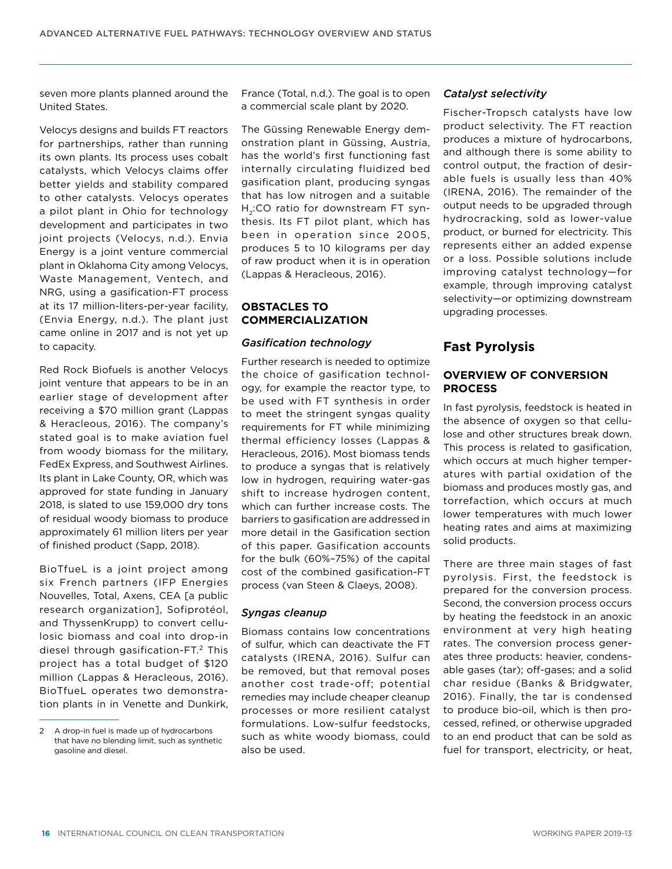seven more plants planned around the United States.

Velocys designs and builds FT reactors for partnerships, rather than running its own plants. Its process uses cobalt catalysts, which Velocys claims offer better yields and stability compared to other catalysts. Velocys operates a pilot plant in Ohio for technology development and participates in two joint projects (Velocys, n.d.). Envia Energy is a joint venture commercial plant in Oklahoma City among Velocys, Waste Management, Ventech, and NRG, using a gasification-FT process at its 17 million-liters-per-year facility, (Envia Energy, n.d.). The plant just came online in 2017 and is not yet up to capacity.

Red Rock Biofuels is another Velocys joint venture that appears to be in an earlier stage of development after receiving a \$70 million grant (Lappas & Heracleous, 2016). The company's stated goal is to make aviation fuel from woody biomass for the military, FedEx Express, and Southwest Airlines. Its plant in Lake County, OR, which was approved for state funding in January 2018, is slated to use 159,000 dry tons of residual woody biomass to produce approximately 61 million liters per year of finished product (Sapp, 2018).

BioTfueL is a joint project among six French partners (IFP Energies Nouvelles, Total, Axens, CEA [a public research organization], Sofiprotéol, and ThyssenKrupp) to convert cellulosic biomass and coal into drop-in diesel through gasification-FT.<sup>2</sup> This project has a total budget of \$120 million (Lappas & Heracleous, 2016). BioTfueL operates two demonstration plants in in Venette and Dunkirk, France (Total, n.d.). The goal is to open a commercial scale plant by 2020.

The Güssing Renewable Energy demonstration plant in Güssing, Austria, has the world's first functioning fast internally circulating fluidized bed gasification plant, producing syngas that has low nitrogen and a suitable H<sub>2</sub>:CO ratio for downstream FT synthesis. Its FT pilot plant, which has been in operation since 2005, produces 5 to 10 kilograms per day of raw product when it is in operation (Lappas & Heracleous, 2016).

## **OBSTACLES TO COMMERCIALIZATION**

#### *Gasification technology*

Further research is needed to optimize the choice of gasification technology, for example the reactor type, to be used with FT synthesis in order to meet the stringent syngas quality requirements for FT while minimizing thermal efficiency losses (Lappas & Heracleous, 2016). Most biomass tends to produce a syngas that is relatively low in hydrogen, requiring water-gas shift to increase hydrogen content, which can further increase costs. The barriers to gasification are addressed in more detail in the [Gasification](#page-6-0) section of this paper. Gasification accounts for the bulk (60%–75%) of the capital cost of the combined gasification-FT process (van Steen & Claeys, 2008).

#### *Syngas cleanup*

Biomass contains low concentrations of sulfur, which can deactivate the FT catalysts (IRENA, 2016). Sulfur can be removed, but that removal poses another cost trade-off; potential remedies may include cheaper cleanup processes or more resilient catalyst formulations. Low-sulfur feedstocks, such as white woody biomass, could also be used.

#### *Catalyst selectivity*

Fischer-Tropsch catalysts have low product selectivity. The FT reaction produces a mixture of hydrocarbons, and although there is some ability to control output, the fraction of desirable fuels is usually less than 40% (IRENA, 2016). The remainder of the output needs to be upgraded through hydrocracking, sold as lower-value product, or burned for electricity. This represents either an added expense or a loss. Possible solutions include improving catalyst technology—for example, through improving catalyst selectivity—or optimizing downstream upgrading processes.

## <span id="page-15-0"></span>**Fast Pyrolysis**

### **OVERVIEW OF CONVERSION PROCESS**

In fast pyrolysis, feedstock is heated in the absence of oxygen so that cellulose and other structures break down. This process is related to gasification, which occurs at much higher temperatures with partial oxidation of the biomass and produces mostly gas, and torrefaction, which occurs at much lower temperatures with much lower heating rates and aims at maximizing solid products.

There are three main stages of fast pyrolysis. First, the feedstock is prepared for the conversion process. Second, the conversion process occurs by heating the feedstock in an anoxic environment at very high heating rates. The conversion process generates three products: heavier, condensable gases (tar); off-gases; and a solid char residue (Banks & Bridgwater, 2016). Finally, the tar is condensed to produce bio-oil, which is then processed, refined, or otherwise upgraded to an end product that can be sold as fuel for transport, electricity, or heat,

<sup>2</sup> A drop-in fuel is made up of hydrocarbons that have no blending limit, such as synthetic gasoline and diesel.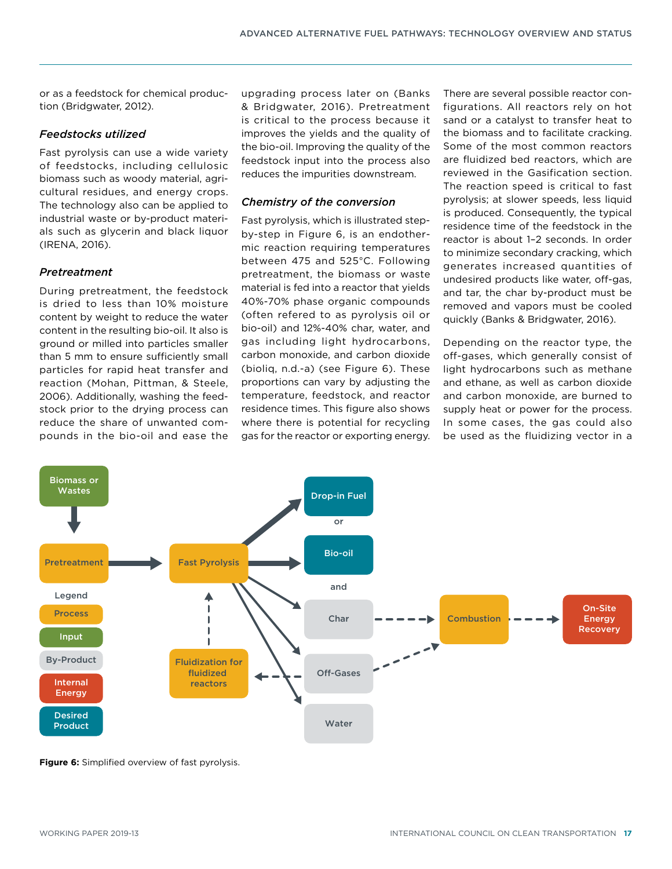or as a feedstock for chemical production (Bridgwater, 2012).

## *Feedstocks utilized*

Fast pyrolysis can use a wide variety of feedstocks, including cellulosic biomass such as woody material, agricultural residues, and energy crops. The technology also can be applied to industrial waste or by-product materials such as glycerin and black liquor (IRENA, 2016).

## *Pretreatment*

During pretreatment, the feedstock is dried to less than 10% moisture content by weight to reduce the water content in the resulting bio-oil. It also is ground or milled into particles smaller than 5 mm to ensure sufficiently small particles for rapid heat transfer and reaction (Mohan, Pittman, & Steele, 2006). Additionally, washing the feedstock prior to the drying process can reduce the share of unwanted compounds in the bio-oil and ease the

upgrading process later on (Banks & Bridgwater, 2016). Pretreatment is critical to the process because it improves the yields and the quality of the bio-oil. Improving the quality of the feedstock input into the process also reduces the impurities downstream.

# *Chemistry of the conversion*

Fast pyrolysis, which is illustrated stepby-step in Figure 6, is an endothermic reaction requiring temperatures between 475 and 525°C. Following pretreatment, the biomass or waste material is fed into a reactor that yields 40%-70% phase organic compounds (often refered to as pyrolysis oil or bio-oil) and 12%-40% char, water, and gas including light hydrocarbons, carbon monoxide, and carbon dioxide (bioliq, n.d.-a) (see Figure 6). These proportions can vary by adjusting the temperature, feedstock, and reactor residence times. This figure also shows where there is potential for recycling gas for the reactor or exporting energy. There are several possible reactor configurations. All reactors rely on hot sand or a catalyst to transfer heat to the biomass and to facilitate cracking. Some of the most common reactors are fluidized bed reactors, which are reviewed in the [Gasification](#page-6-0) section. The reaction speed is critical to fast pyrolysis; at slower speeds, less liquid is produced. Consequently, the typical residence time of the feedstock in the reactor is about 1–2 seconds. In order to minimize secondary cracking, which generates increased quantities of undesired products like water, off-gas, and tar, the char by-product must be removed and vapors must be cooled quickly (Banks & Bridgwater, 2016).

Depending on the reactor type, the off-gases, which generally consist of light hydrocarbons such as methane and ethane, as well as carbon dioxide and carbon monoxide, are burned to supply heat or power for the process. In some cases, the gas could also be used as the fluidizing vector in a



**Figure 6:** Simplified overview of fast pyrolysis.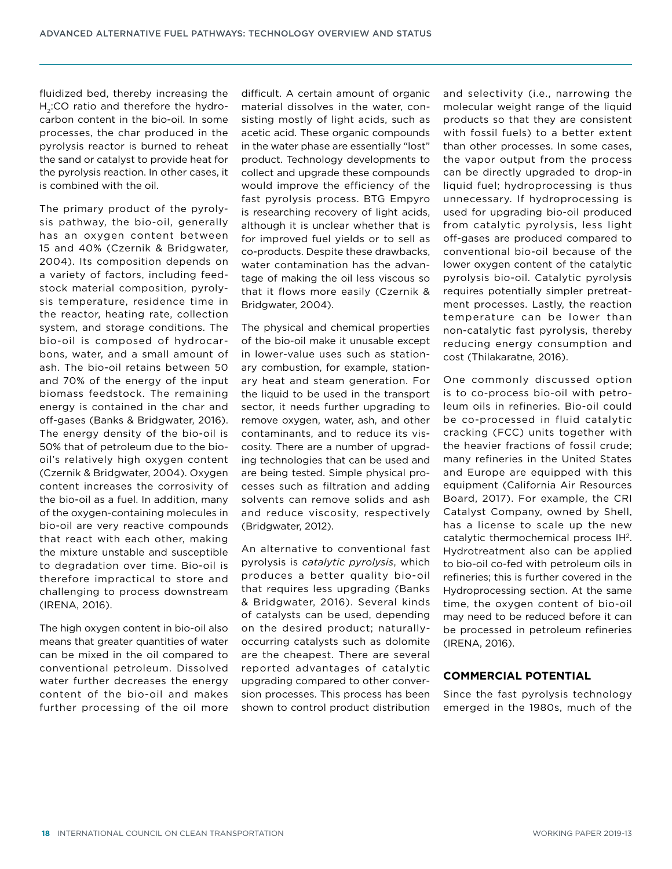fluidized bed, thereby increasing the H<sub>2</sub>:CO ratio and therefore the hydrocarbon content in the bio-oil. In some processes, the char produced in the pyrolysis reactor is burned to reheat the sand or catalyst to provide heat for the pyrolysis reaction. In other cases, it is combined with the oil.

The primary product of the pyrolysis pathway, the bio-oil, generally has an oxygen content between 15 and 40% (Czernik & Bridgwater, 2004). Its composition depends on a variety of factors, including feedstock material composition, pyrolysis temperature, residence time in the reactor, heating rate, collection system, and storage conditions. The bio-oil is composed of hydrocarbons, water, and a small amount of ash. The bio-oil retains between 50 and 70% of the energy of the input biomass feedstock. The remaining energy is contained in the char and off-gases (Banks & Bridgwater, 2016). The energy density of the bio-oil is 50% that of petroleum due to the biooil's relatively high oxygen content (Czernik & Bridgwater, 2004). Oxygen content increases the corrosivity of the bio-oil as a fuel. In addition, many of the oxygen-containing molecules in bio-oil are very reactive compounds that react with each other, making the mixture unstable and susceptible to degradation over time. Bio-oil is therefore impractical to store and challenging to process downstream (IRENA, 2016).

The high oxygen content in bio-oil also means that greater quantities of water can be mixed in the oil compared to conventional petroleum. Dissolved water further decreases the energy content of the bio-oil and makes further processing of the oil more difficult. A certain amount of organic material dissolves in the water, consisting mostly of light acids, such as acetic acid. These organic compounds in the water phase are essentially "lost" product. Technology developments to collect and upgrade these compounds would improve the efficiency of the fast pyrolysis process. BTG Empyro is researching recovery of light acids, although it is unclear whether that is for improved fuel yields or to sell as co-products. Despite these drawbacks, water contamination has the advantage of making the oil less viscous so that it flows more easily (Czernik & Bridgwater, 2004).

The physical and chemical properties of the bio-oil make it unusable except in lower-value uses such as stationary combustion, for example, stationary heat and steam generation. For the liquid to be used in the transport sector, it needs further upgrading to remove oxygen, water, ash, and other contaminants, and to reduce its viscosity. There are a number of upgrading technologies that can be used and are being tested. Simple physical processes such as filtration and adding solvents can remove solids and ash and reduce viscosity, respectively (Bridgwater, 2012).

An alternative to conventional fast pyrolysis is *catalytic pyrolysis*, which produces a better quality bio-oil that requires less upgrading (Banks & Bridgwater, 2016). Several kinds of catalysts can be used, depending on the desired product; naturallyoccurring catalysts such as dolomite are the cheapest. There are several reported advantages of catalytic upgrading compared to other conversion processes. This process has been shown to control product distribution and selectivity (i.e., narrowing the molecular weight range of the liquid products so that they are consistent with fossil fuels) to a better extent than other processes. In some cases, the vapor output from the process can be directly upgraded to drop-in liquid fuel; hydroprocessing is thus unnecessary. If hydroprocessing is used for upgrading bio-oil produced from catalytic pyrolysis, less light off-gases are produced compared to conventional bio-oil because of the lower oxygen content of the catalytic pyrolysis bio-oil. Catalytic pyrolysis requires potentially simpler pretreatment processes. Lastly, the reaction temperature can be lower than non-catalytic fast pyrolysis, thereby reducing energy consumption and cost (Thilakaratne, 2016).

One commonly discussed option is to co-process bio-oil with petroleum oils in refineries. Bio-oil could be co-processed in fluid catalytic cracking (FCC) units together with the heavier fractions of fossil crude; many refineries in the United States and Europe are equipped with this equipment (California Air Resources Board, 2017). For example, the CRI Catalyst Company, owned by Shell, has a license to scale up the new catalytic thermochemical process IH2. Hydrotreatment also can be applied to bio-oil co-fed with petroleum oils in refineries; this is further covered in the Hydroprocessing section. At the same time, the oxygen content of bio-oil may need to be reduced before it can be processed in petroleum refineries (IRENA, 2016).

#### **COMMERCIAL POTENTIAL**

Since the fast pyrolysis technology emerged in the 1980s, much of the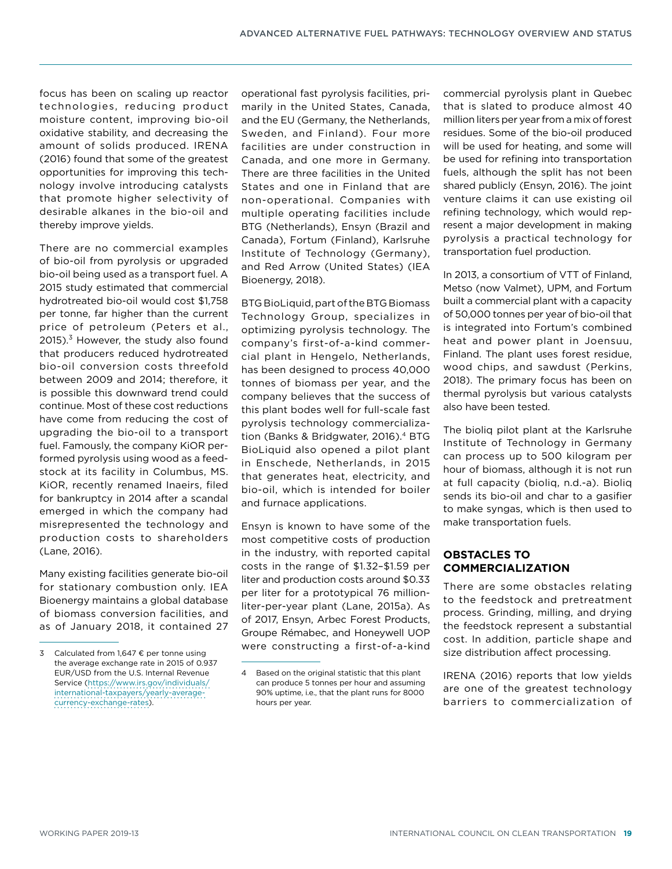focus has been on scaling up reactor technologies, reducing product moisture content, improving bio-oil oxidative stability, and decreasing the amount of solids produced. IRENA (2016) found that some of the greatest opportunities for improving this technology involve introducing catalysts that promote higher selectivity of desirable alkanes in the bio-oil and thereby improve yields.

There are no commercial examples of bio-oil from pyrolysis or upgraded bio-oil being used as a transport fuel. A 2015 study estimated that commercial hydrotreated bio-oil would cost \$1,758 per tonne, far higher than the current price of petroleum (Peters et al.,  $2015$ ).<sup>3</sup> However, the study also found that producers reduced hydrotreated bio-oil conversion costs threefold between 2009 and 2014; therefore, it is possible this downward trend could continue. Most of these cost reductions have come from reducing the cost of upgrading the bio-oil to a transport fuel. Famously, the company KiOR performed pyrolysis using wood as a feedstock at its facility in Columbus, MS. KiOR, recently renamed Inaeirs, filed for bankruptcy in 2014 after a scandal emerged in which the company had misrepresented the technology and production costs to shareholders (Lane, 2016).

Many existing facilities generate bio-oil for stationary combustion only. IEA Bioenergy maintains a global database of biomass conversion facilities, and as of January 2018, it contained 27 operational fast pyrolysis facilities, primarily in the United States, Canada, and the EU (Germany, the Netherlands, Sweden, and Finland). Four more facilities are under construction in Canada, and one more in Germany. There are three facilities in the United States and one in Finland that are non-operational. Companies with multiple operating facilities include BTG (Netherlands), Ensyn (Brazil and Canada), Fortum (Finland), Karlsruhe Institute of Technology (Germany), and Red Arrow (United States) (IEA Bioenergy, 2018).

BTG BioLiquid, part of the BTG Biomass Technology Group, specializes in optimizing pyrolysis technology. The company's first-of-a-kind commercial plant in Hengelo, Netherlands, has been designed to process 40,000 tonnes of biomass per year, and the company believes that the success of this plant bodes well for full-scale fast pyrolysis technology commercialization (Banks & Bridgwater, 2016).<sup>4</sup> BTG BioLiquid also opened a pilot plant in Enschede, Netherlands, in 2015 that generates heat, electricity, and bio-oil, which is intended for boiler and furnace applications.

Ensyn is known to have some of the most competitive costs of production in the industry, with reported capital costs in the range of \$1.32–\$1.59 per liter and production costs around \$0.33 per liter for a prototypical 76 millionliter-per-year plant (Lane, 2015a). As of 2017, Ensyn, Arbec Forest Products, Groupe Rémabec, and Honeywell UOP were constructing a first-of-a-kind commercial pyrolysis plant in Quebec that is slated to produce almost 40 million liters per year from a mix of forest residues. Some of the bio-oil produced will be used for heating, and some will be used for refining into transportation fuels, although the split has not been shared publicly (Ensyn, 2016). The joint venture claims it can use existing oil refining technology, which would represent a major development in making pyrolysis a practical technology for transportation fuel production.

In 2013, a consortium of VTT of Finland, Metso (now Valmet), UPM, and Fortum built a commercial plant with a capacity of 50,000 tonnes per year of bio-oil that is integrated into Fortum's combined heat and power plant in Joensuu, Finland. The plant uses forest residue, wood chips, and sawdust (Perkins, 2018). The primary focus has been on thermal pyrolysis but various catalysts also have been tested.

The bioliq pilot plant at the Karlsruhe Institute of Technology in Germany can process up to 500 kilogram per hour of biomass, although it is not run at full capacity (bioliq, n.d.-a). Bioliq sends its bio-oil and char to a gasifier to make syngas, which is then used to make transportation fuels.

## **OBSTACLES TO COMMERCIALIZATION**

There are some obstacles relating to the feedstock and pretreatment process. Grinding, milling, and drying the feedstock represent a substantial cost. In addition, particle shape and size distribution affect processing.

IRENA (2016) reports that low yields are one of the greatest technology barriers to commercialization of

<sup>3</sup> Calculated from 1,647 € per tonne using the average exchange rate in 2015 of 0.937 EUR/USD from the U.S. Internal Revenue Service [\(https://www.irs.gov/individuals/](https://www.irs.gov/individuals/international-taxpayers/yearly-average-currency-exchange-rates) [international-taxpayers/yearly-average](https://www.irs.gov/individuals/international-taxpayers/yearly-average-currency-exchange-rates)[currency-exchange-rates\)](https://www.irs.gov/individuals/international-taxpayers/yearly-average-currency-exchange-rates).

<sup>4</sup> Based on the original statistic that this plant can produce 5 tonnes per hour and assuming 90% uptime, i.e., that the plant runs for 8000 hours per year.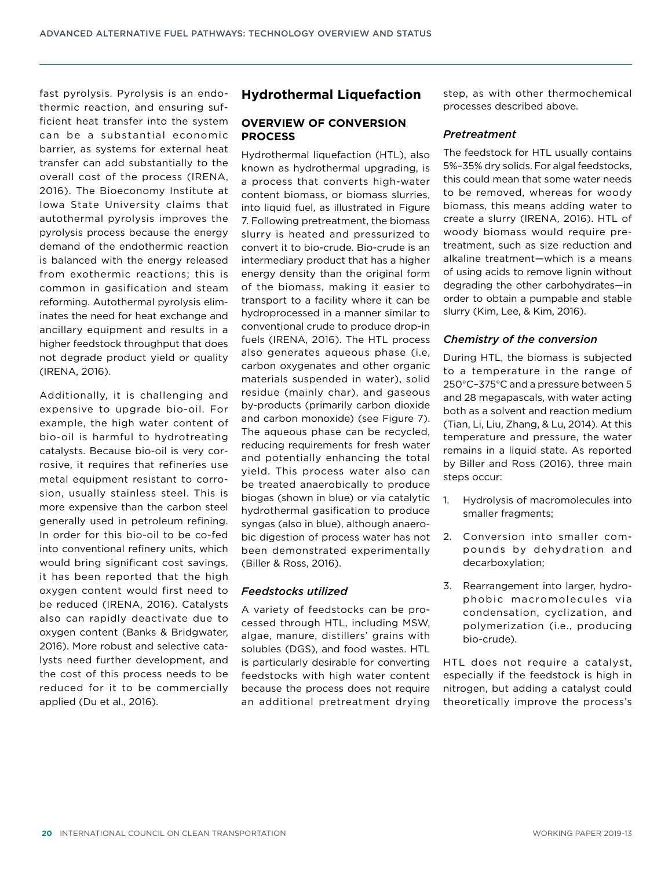fast pyrolysis. Pyrolysis is an endothermic reaction, and ensuring sufficient heat transfer into the system can be a substantial economic barrier, as systems for external heat transfer can add substantially to the overall cost of the process (IRENA, 2016). The Bioeconomy Institute at Iowa State University claims that autothermal pyrolysis improves the pyrolysis process because the energy demand of the endothermic reaction is balanced with the energy released from exothermic reactions; this is common in gasification and steam reforming. Autothermal pyrolysis eliminates the need for heat exchange and ancillary equipment and results in a higher feedstock throughput that does not degrade product yield or quality (IRENA, 2016).

Additionally, it is challenging and expensive to upgrade bio-oil. For example, the high water content of bio-oil is harmful to hydrotreating catalysts. Because bio-oil is very corrosive, it requires that refineries use metal equipment resistant to corrosion, usually stainless steel. This is more expensive than the carbon steel generally used in petroleum refining. In order for this bio-oil to be co-fed into conventional refinery units, which would bring significant cost savings, it has been reported that the high oxygen content would first need to be reduced (IRENA, 2016). Catalysts also can rapidly deactivate due to oxygen content (Banks & Bridgwater, 2016). More robust and selective catalysts need further development, and the cost of this process needs to be reduced for it to be commercially applied (Du et al., 2016).

# <span id="page-19-0"></span>**Hydrothermal Liquefaction**

## **OVERVIEW OF CONVERSION PROCESS**

Hydrothermal liquefaction (HTL), also known as hydrothermal upgrading, is a process that converts high-water content biomass, or biomass slurries, into liquid fuel, as illustrated in Figure 7. Following pretreatment, the biomass slurry is heated and pressurized to convert it to bio-crude. Bio-crude is an intermediary product that has a higher energy density than the original form of the biomass, making it easier to transport to a facility where it can be hydroprocessed in a manner similar to conventional crude to produce drop-in fuels (IRENA, 2016). The HTL process also generates aqueous phase (i.e, carbon oxygenates and other organic materials suspended in water), solid residue (mainly char), and gaseous by-products (primarily carbon dioxide and carbon monoxide) (see Figure 7). The aqueous phase can be recycled, reducing requirements for fresh water and potentially enhancing the total yield. This process water also can be treated anaerobically to produce biogas (shown in blue) or via catalytic hydrothermal gasification to produce syngas (also in blue), although anaerobic digestion of process water has not been demonstrated experimentally (Biller & Ross, 2016).

## *Feedstocks utilized*

A variety of feedstocks can be processed through HTL, including MSW, algae, manure, distillers' grains with solubles (DGS), and food wastes. HTL is particularly desirable for converting feedstocks with high water content because the process does not require an additional pretreatment drying

step, as with other thermochemical processes described above.

## *Pretreatment*

The feedstock for HTL usually contains 5%–35% dry solids. For algal feedstocks, this could mean that some water needs to be removed, whereas for woody biomass, this means adding water to create a slurry (IRENA, 2016). HTL of woody biomass would require pretreatment, such as size reduction and alkaline treatment—which is a means of using acids to remove lignin without degrading the other carbohydrates—in order to obtain a pumpable and stable slurry (Kim, Lee, & Kim, 2016).

## *Chemistry of the conversion*

During HTL, the biomass is subjected to a temperature in the range of 250°C–375°C and a pressure between 5 and 28 megapascals, with water acting both as a solvent and reaction medium (Tian, Li, Liu, Zhang, & Lu, 2014). At this temperature and pressure, the water remains in a liquid state. As reported by Biller and Ross (2016), three main steps occur:

- 1. Hydrolysis of macromolecules into smaller fragments;
- 2. Conversion into smaller compounds by dehydration and decarboxylation;
- 3. Rearrangement into larger, hydrophobic macromolecules via condensation, cyclization, and polymerization (i.e., producing bio-crude).

HTL does not require a catalyst, especially if the feedstock is high in nitrogen, but adding a catalyst could theoretically improve the process's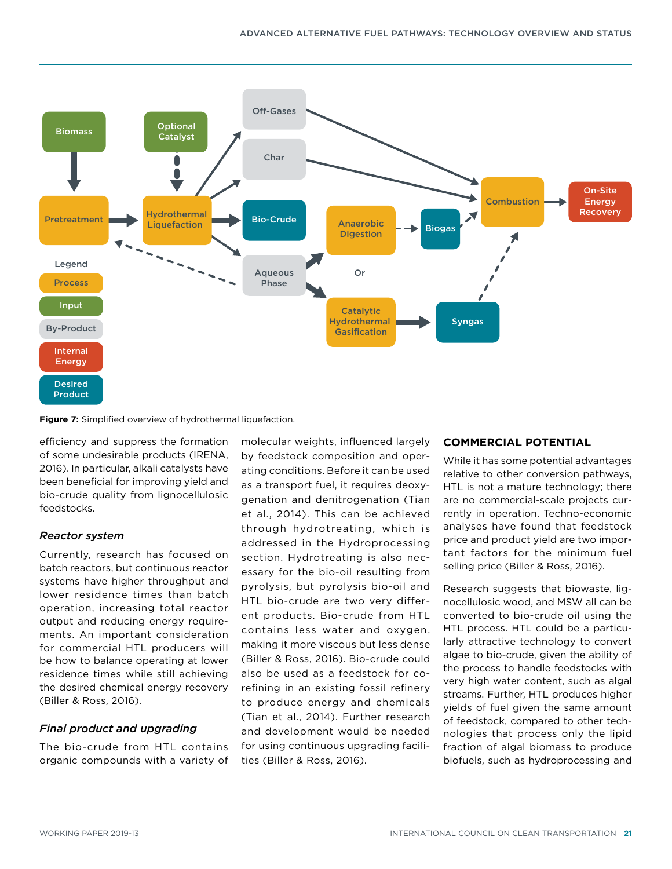

**Figure 7:** Simplified overview of hydrothermal liquefaction.

efficiency and suppress the formation of some undesirable products (IRENA, 2016). In particular, alkali catalysts have been beneficial for improving yield and bio-crude quality from lignocellulosic feedstocks.

#### *Reactor system*

Currently, research has focused on batch reactors, but continuous reactor systems have higher throughput and lower residence times than batch operation, increasing total reactor output and reducing energy requirements. An important consideration for commercial HTL producers will be how to balance operating at lower residence times while still achieving the desired chemical energy recovery (Biller & Ross, 2016).

#### *Final product and upgrading*

The bio-crude from HTL contains organic compounds with a variety of molecular weights, influenced largely by feedstock composition and operating conditions. Before it can be used as a transport fuel, it requires deoxygenation and denitrogenation (Tian et al., 2014). This can be achieved through hydrotreating, which is addressed in the [Hydroprocessing](#page-21-0) section. Hydrotreating is also necessary for the bio-oil resulting from pyrolysis, but pyrolysis bio-oil and HTL bio-crude are two very different products. Bio-crude from HTL contains less water and oxygen, making it more viscous but less dense (Biller & Ross, 2016). Bio-crude could also be used as a feedstock for corefining in an existing fossil refinery to produce energy and chemicals (Tian et al., 2014). Further research and development would be needed for using continuous upgrading facilities (Biller & Ross, 2016).

## **COMMERCIAL POTENTIAL**

While it has some potential advantages relative to other conversion pathways, HTL is not a mature technology; there are no commercial-scale projects currently in operation. Techno-economic analyses have found that feedstock price and product yield are two important factors for the minimum fuel selling price (Biller & Ross, 2016).

Research suggests that biowaste, lignocellulosic wood, and MSW all can be converted to bio-crude oil using the HTL process. HTL could be a particularly attractive technology to convert algae to bio-crude, given the ability of the process to handle feedstocks with very high water content, such as algal streams. Further, HTL produces higher yields of fuel given the same amount of feedstock, compared to other technologies that process only the lipid fraction of algal biomass to produce biofuels, such as hydroprocessing and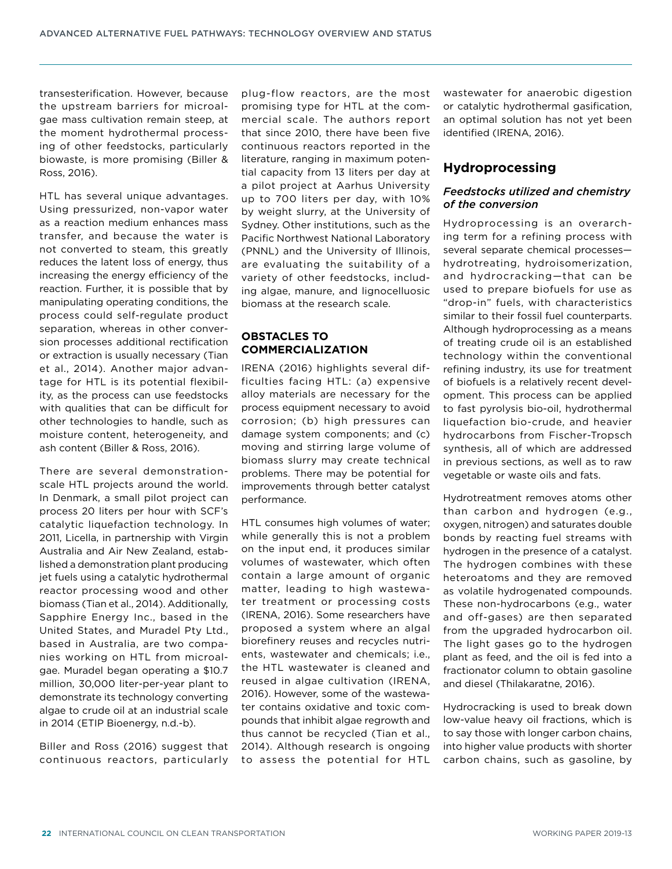transesterification. However, because the upstream barriers for microalgae mass cultivation remain steep, at the moment hydrothermal processing of other feedstocks, particularly biowaste, is more promising (Biller & Ross, 2016).

HTL has several unique advantages. Using pressurized, non-vapor water as a reaction medium enhances mass transfer, and because the water is not converted to steam, this greatly reduces the latent loss of energy, thus increasing the energy efficiency of the reaction. Further, it is possible that by manipulating operating conditions, the process could self-regulate product separation, whereas in other conversion processes additional rectification or extraction is usually necessary (Tian et al., 2014). Another major advantage for HTL is its potential flexibility, as the process can use feedstocks with qualities that can be difficult for other technologies to handle, such as moisture content, heterogeneity, and ash content (Biller & Ross, 2016).

There are several demonstrationscale HTL projects around the world. In Denmark, a small pilot project can process 20 liters per hour with SCF's catalytic liquefaction technology. In 2011, Licella, in partnership with Virgin Australia and Air New Zealand, established a demonstration plant producing jet fuels using a catalytic hydrothermal reactor processing wood and other biomass (Tian et al., 2014). Additionally, Sapphire Energy Inc., based in the United States, and Muradel Pty Ltd., based in Australia, are two companies working on HTL from microalgae. Muradel began operating a \$10.7 million, 30,000 liter-per-year plant to demonstrate its technology converting algae to crude oil at an industrial scale in 2014 (ETIP Bioenergy, n.d.-b).

Biller and Ross (2016) suggest that continuous reactors, particularly plug-flow reactors, are the most promising type for HTL at the commercial scale. The authors report that since 2010, there have been five continuous reactors reported in the literature, ranging in maximum potential capacity from 13 liters per day at a pilot project at Aarhus University up to 700 liters per day, with 10% by weight slurry, at the University of Sydney. Other institutions, such as the Pacific Northwest National Laboratory (PNNL) and the University of Illinois, are evaluating the suitability of a variety of other feedstocks, including algae, manure, and lignocelluosic biomass at the research scale.

## **OBSTACLES TO COMMERCIALIZATION**

IRENA (2016) highlights several difficulties facing HTL: (a) expensive alloy materials are necessary for the process equipment necessary to avoid corrosion; (b) high pressures can damage system components; and (c) moving and stirring large volume of biomass slurry may create technical problems. There may be potential for improvements through better catalyst performance.

HTL consumes high volumes of water; while generally this is not a problem on the input end, it produces similar volumes of wastewater, which often contain a large amount of organic matter, leading to high wastewater treatment or processing costs (IRENA, 2016). Some researchers have proposed a system where an algal biorefinery reuses and recycles nutrients, wastewater and chemicals; i.e., the HTL wastewater is cleaned and reused in algae cultivation (IRENA, 2016). However, some of the wastewater contains oxidative and toxic compounds that inhibit algae regrowth and thus cannot be recycled (Tian et al., 2014). Although research is ongoing to assess the potential for HTL

wastewater for anaerobic digestion or catalytic hydrothermal gasification, an optimal solution has not yet been identified (IRENA, 2016).

# <span id="page-21-0"></span>**Hydroprocessing**

#### *Feedstocks utilized and chemistry of the conversion*

Hydroprocessing is an overarching term for a refining process with several separate chemical processes hydrotreating, hydroisomerization, and hydrocracking—that can be used to prepare biofuels for use as "drop-in" fuels, with characteristics similar to their fossil fuel counterparts. Although hydroprocessing as a means of treating crude oil is an established technology within the conventional refining industry, its use for treatment of biofuels is a relatively recent development. This process can be applied to [f](#page-15-0)ast pyrolysis bio-oil, [hy](#page-19-0)drothermal liquefaction bio-crude, and heavier hydrocarbons from Fischer-Tropsch synthesis, all of which are addressed in previous sections, as well as to raw vegetable or waste oils and fats.

Hydrotreatment removes atoms other than carbon and hydrogen (e.g., oxygen, nitrogen) and saturates double bonds by reacting fuel streams with hydrogen in the presence of a catalyst. The hydrogen combines with these heteroatoms and they are removed as volatile hydrogenated compounds. These non-hydrocarbons (e.g., water and off-gases) are then separated from the upgraded hydrocarbon oil. The light gases go to the hydrogen plant as feed, and the oil is fed into a fractionator column to obtain gasoline and diesel (Thilakaratne, 2016).

Hydrocracking is used to break down low-value heavy oil fractions, which is to say those with longer carbon chains, into higher value products with shorter carbon chains, such as gasoline, by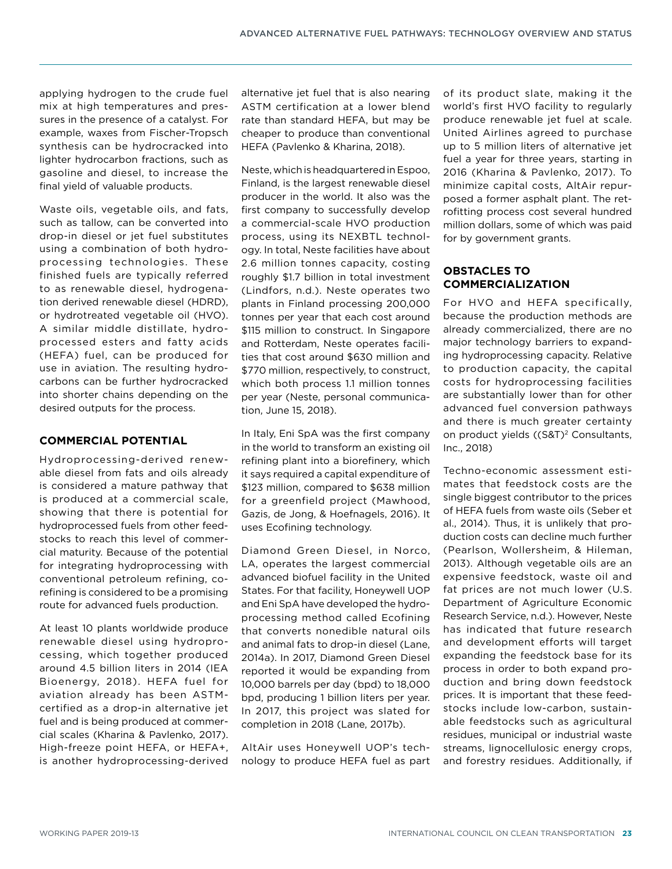applying hydrogen to the crude fuel mix at high temperatures and pressures in the presence of a catalyst. For example, waxes from Fischer-Tropsch synthesis can be hydrocracked into lighter hydrocarbon fractions, such as gasoline and diesel, to increase the final yield of valuable products.

Waste oils, vegetable oils, and fats, such as tallow, can be converted into drop-in diesel or jet fuel substitutes using a combination of both hydroprocessing technologies. These finished fuels are typically referred to as renewable diesel, hydrogenation derived renewable diesel (HDRD), or hydrotreated vegetable oil (HVO). A similar middle distillate, hydroprocessed esters and fatty acids (HEFA) fuel, can be produced for use in aviation. The resulting hydrocarbons can be further hydrocracked into shorter chains depending on the desired outputs for the process.

## **COMMERCIAL POTENTIAL**

Hydroprocessing-derived renewable diesel from fats and oils already is considered a mature pathway that is produced at a commercial scale, showing that there is potential for hydroprocessed fuels from other feedstocks to reach this level of commercial maturity. Because of the potential for integrating hydroprocessing with conventional petroleum refining, corefining is considered to be a promising route for advanced fuels production.

At least 10 plants worldwide produce renewable diesel using hydroprocessing, which together produced around 4.5 billion liters in 2014 (IEA Bioenergy, 2018). HEFA fuel for aviation already has been ASTMcertified as a drop-in alternative jet fuel and is being produced at commercial scales (Kharina & Pavlenko, 2017). High-freeze point HEFA, or HEFA+, is another hydroprocessing-derived alternative jet fuel that is also nearing ASTM certification at a lower blend rate than standard HEFA, but may be cheaper to produce than conventional HEFA (Pavlenko & Kharina, 2018).

Neste, which is headquartered in Espoo, Finland, is the largest renewable diesel producer in the world. It also was the first company to successfully develop a commercial-scale HVO production process, using its NEXBTL technology. In total, Neste facilities have about 2.6 million tonnes capacity, costing roughly \$1.7 billion in total investment (Lindfors, n.d.). Neste operates two plants in Finland processing 200,000 tonnes per year that each cost around \$115 million to construct. In Singapore and Rotterdam, Neste operates facilities that cost around \$630 million and \$770 million, respectively, to construct, which both process 1.1 million tonnes per year (Neste, personal communication, June 15, 2018).

In Italy, Eni SpA was the first company in the world to transform an existing oil refining plant into a biorefinery, which it says required a capital expenditure of \$123 million, compared to \$638 million for a greenfield project (Mawhood, Gazis, de Jong, & Hoefnagels, 2016). It uses Ecofining technology.

Diamond Green Diesel, in Norco, LA, operates the largest commercial advanced biofuel facility in the United States. For that facility, Honeywell UOP and Eni SpA have developed the hydroprocessing method called Ecofining that converts nonedible natural oils and animal fats to drop-in diesel (Lane, 2014a). In 2017, Diamond Green Diesel reported it would be expanding from 10,000 barrels per day (bpd) to 18,000 bpd, producing 1 billion liters per year. In 2017, this project was slated for completion in 2018 (Lane, 2017b).

AltAir uses Honeywell UOP's technology to produce HEFA fuel as part of its product slate, making it the world's first HVO facility to regularly produce renewable jet fuel at scale. United Airlines agreed to purchase up to 5 million liters of alternative jet fuel a year for three years, starting in 2016 (Kharina & Pavlenko, 2017). To minimize capital costs, AltAir repurposed a former asphalt plant. The retrofitting process cost several hundred million dollars, some of which was paid for by government grants.

## **OBSTACLES TO COMMERCIALIZATION**

For HVO and HEFA specifically, because the production methods are already commercialized, there are no major technology barriers to expanding hydroprocessing capacity. Relative to production capacity, the capital costs for hydroprocessing facilities are substantially lower than for other advanced fuel conversion pathways and there is much greater certainty on product yields ((S&T)<sup>2</sup> Consultants, Inc., 2018)

Techno-economic assessment estimates that feedstock costs are the single biggest contributor to the prices of HEFA fuels from waste oils (Seber et al., 2014). Thus, it is unlikely that production costs can decline much further (Pearlson, Wollersheim, & Hileman, 2013). Although vegetable oils are an expensive feedstock, waste oil and fat prices are not much lower (U.S. Department of Agriculture Economic Research Service, n.d.). However, Neste has indicated that future research and development efforts will target expanding the feedstock base for its process in order to both expand production and bring down feedstock prices. It is important that these feedstocks include low-carbon, sustainable feedstocks such as agricultural residues, municipal or industrial waste streams, lignocellulosic energy crops, and forestry residues. Additionally, if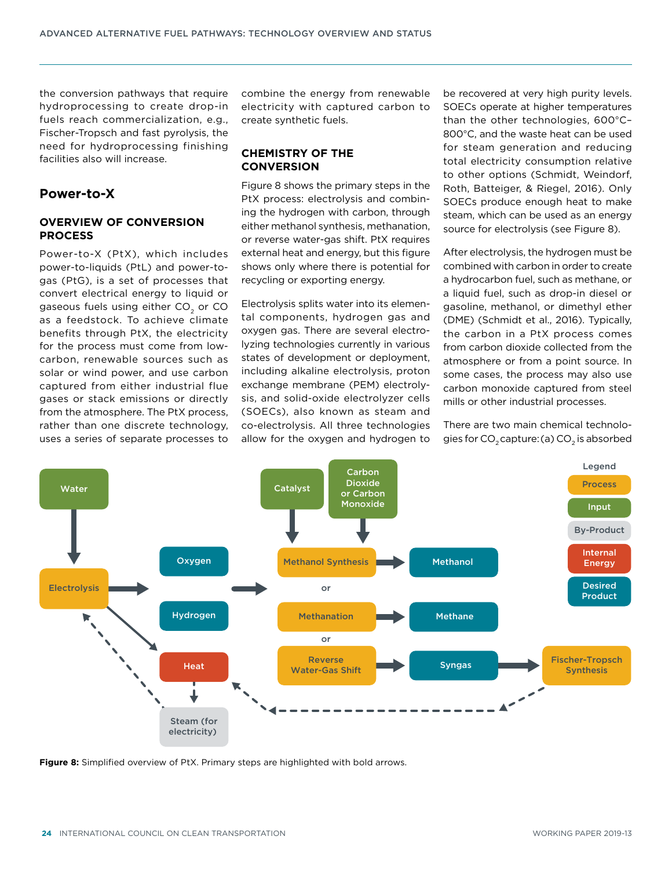the conversion pathways that require hydroprocessing to create drop-in fuels reach commercialization, e.g., Fischer-Tropsch and fast pyrolysis, the need for hydroprocessing finishing facilities also will increase.

# **Power-to-X**

#### **OVERVIEW OF CONVERSION PROCESS**

Power-to-X (PtX), which includes power-to-liquids (PtL) and power-togas (PtG), is a set of processes that convert electrical energy to liquid or gaseous fuels using either CO<sub>2</sub> or CO as a feedstock. To achieve climate benefits through PtX, the electricity for the process must come from lowcarbon, renewable sources such as solar or wind power, and use carbon captured from either industrial flue gases or stack emissions or directly from the atmosphere. The PtX process, rather than one discrete technology, uses a series of separate processes to

combine the energy from renewable electricity with captured carbon to create synthetic fuels.

#### **CHEMISTRY OF THE CONVERSION**

Figure 8 shows the primary steps in the PtX process: electrolysis and combining the hydrogen with carbon, through either methanol synthesis, methanation, or reverse water-gas shift. PtX requires external heat and energy, but this figure shows only where there is potential for recycling or exporting energy.

Electrolysis splits water into its elemental components, hydrogen gas and oxygen gas. There are several electrolyzing technologies currently in various states of development or deployment, including alkaline electrolysis, proton exchange membrane (PEM) electrolysis, and solid-oxide electrolyzer cells (SOECs), also known as steam and co-electrolysis. All three technologies allow for the oxygen and hydrogen to be recovered at very high purity levels. SOECs operate at higher temperatures than the other technologies, 600°C– 800°C, and the waste heat can be used for steam generation and reducing total electricity consumption relative to other options (Schmidt, Weindorf, Roth, Batteiger, & Riegel, 2016). Only SOECs produce enough heat to make steam, which can be used as an energy source for electrolysis (see Figure 8).

After electrolysis, the hydrogen must be combined with carbon in order to create a hydrocarbon fuel, such as methane, or a liquid fuel, such as drop-in diesel or gasoline, methanol, or dimethyl ether (DME) (Schmidt et al., 2016). Typically, the carbon in a PtX process comes from carbon dioxide collected from the atmosphere or from a point source. In some cases, the process may also use carbon monoxide captured from steel mills or other industrial processes.

There are two main chemical technologies for CO<sub>2</sub> capture: (a) CO<sub>2</sub> is absorbed



**Figure 8:** Simplified overview of PtX. Primary steps are highlighted with bold arrows.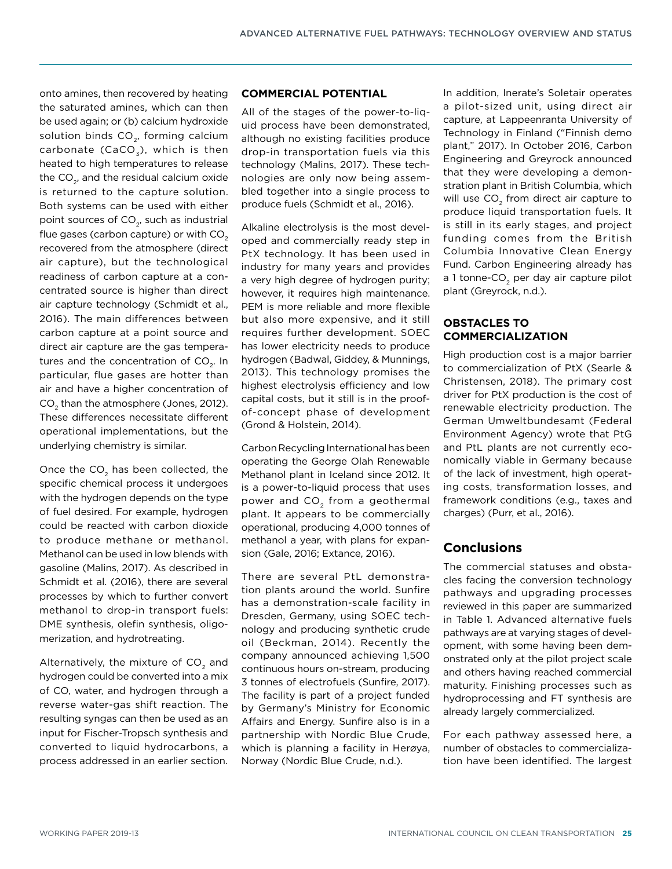onto amines, then recovered by heating the saturated amines, which can then be used again; or (b) calcium hydroxide solution binds CO<sub>2</sub>, forming calcium carbonate (CaCO<sub>3</sub>), which is then heated to high temperatures to release the CO<sub>2</sub>, and the residual calcium oxide is returned to the capture solution. Both systems can be used with either point sources of CO<sub>2</sub>, such as industrial flue gases (carbon capture) or with  $CO<sub>2</sub>$ recovered from the atmosphere (direct air capture), but the technological readiness of carbon capture at a concentrated source is higher than direct air capture technology (Schmidt et al., 2016). The main differences between carbon capture at a point source and direct air capture are the gas temperatures and the concentration of CO<sub>2</sub>. In particular, flue gases are hotter than air and have a higher concentration of CO<sub>2</sub> than the atmosphere (Jones, 2012). These differences necessitate different operational implementations, but the underlying chemistry is similar.

Once the  $CO<sub>2</sub>$  has been collected, the specific chemical process it undergoes with the hydrogen depends on the type of fuel desired. For example, hydrogen could be reacted with carbon dioxide to produce methane or methanol. Methanol can be used in low blends with gasoline (Malins, 2017). As described in Schmidt et al. (2016), there are several processes by which to further convert methanol to drop-in transport fuels: DME synthesis, olefin synthesis, oligomerization, and hydrotreating.

Alternatively, the mixture of CO<sub>2</sub> and hydrogen could be converted into a mix of CO, water, and hydrogen through a reverse water-gas shift reaction. The resulting syngas can then be used as an input for [Fischer-Tropsch s](#page-12-0)ynthesis and converted to liquid hydrocarbons, a process addressed in an earlier section.

## **COMMERCIAL POTENTIAL**

All of the stages of the power-to-liquid process have been demonstrated, although no existing facilities produce drop-in transportation fuels via this technology (Malins, 2017). These technologies are only now being assembled together into a single process to produce fuels (Schmidt et al., 2016).

Alkaline electrolysis is the most developed and commercially ready step in PtX technology. It has been used in industry for many years and provides a very high degree of hydrogen purity; however, it requires high maintenance. PEM is more reliable and more flexible but also more expensive, and it still requires further development. SOEC has lower electricity needs to produce hydrogen (Badwal, Giddey, & Munnings, 2013). This technology promises the highest electrolysis efficiency and low capital costs, but it still is in the proofof-concept phase of development (Grond & Holstein, 2014).

Carbon Recycling International has been operating the George Olah Renewable Methanol plant in Iceland since 2012. It is a power-to-liquid process that uses power and CO<sub>2</sub> from a geothermal plant. It appears to be commercially operational, producing 4,000 tonnes of methanol a year, with plans for expansion (Gale, 2016; Extance, 2016).

There are several PtL demonstration plants around the world. Sunfire has a demonstration-scale facility in Dresden, Germany, using SOEC technology and producing synthetic crude oil (Beckman, 2014). Recently the company announced achieving 1,500 continuous hours on-stream, producing 3 tonnes of electrofuels (Sunfire, 2017). The facility is part of a project funded by Germany's Ministry for Economic Affairs and Energy. Sunfire also is in a partnership with Nordic Blue Crude, which is planning a facility in Herøya, Norway (Nordic Blue Crude, n.d.).

In addition, Inerate's Soletair operates a pilot-sized unit, using direct air capture, at Lappeenranta University of Technology in Finland ("Finnish demo plant," 2017). In October 2016, Carbon Engineering and Greyrock announced that they were developing a demonstration plant in British Columbia, which will use  $CO<sub>2</sub>$  from direct air capture to produce liquid transportation fuels. It is still in its early stages, and project funding comes from the British Columbia Innovative Clean Energy Fund. Carbon Engineering already has a 1 tonne-CO<sub>2</sub> per day air capture pilot plant (Greyrock, n.d.).

#### **OBSTACLES TO COMMERCIALIZATION**

High production cost is a major barrier to commercialization of PtX (Searle & Christensen, 2018). The primary cost driver for PtX production is the cost of renewable electricity production. The German Umweltbundesamt (Federal Environment Agency) wrote that PtG and PtL plants are not currently economically viable in Germany because of the lack of investment, high operating costs, transformation losses, and framework conditions (e.g., taxes and charges) (Purr, et al., 2016).

## **Conclusions**

The commercial statuses and obstacles facing the conversion technology pathways and upgrading processes reviewed in this paper are summarized in Table 1. Advanced alternative fuels pathways are at varying stages of development, with some having been demonstrated only at the pilot project scale and others having reached commercial maturity. Finishing processes such as hydroprocessing and FT synthesis are already largely commercialized.

For each pathway assessed here, a number of obstacles to commercialization have been identified. The largest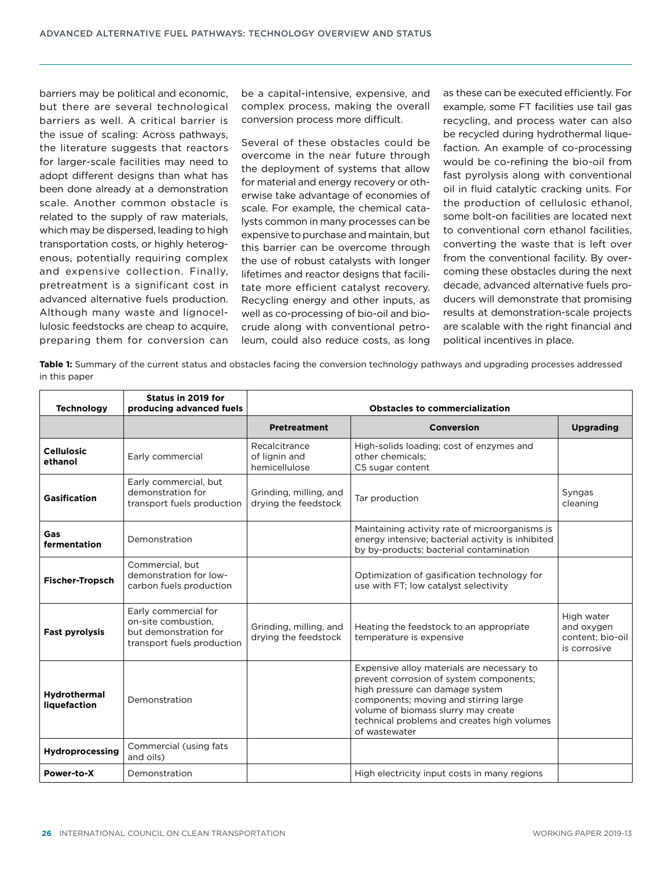barriers may be political and economic, but there are several technological barriers as well. A critical barrier is the issue of scaling: Across pathways, the literature suggests that reactors for larger-scale facilities may need to adopt different designs than what has been done already at a demonstration scale. Another common obstacle is related to the supply of raw materials, which may be dispersed, leading to high transportation costs, or highly heterogenous, potentially requiring complex and expensive collection. Finally, pretreatment is a significant cost in advanced alternative fuels production. Although many waste and lignocellulosic feedstocks are cheap to acquire, preparing them for conversion can

be a capital-intensive, expensive, and complex process, making the overall conversion process more difficult.

Several of these obstacles could be overcome in the near future through the deployment of systems that allow for material and energy recovery or otherwise take advantage of economies of scale. For example, the chemical catalysts common in many processes can be expensive to purchase and maintain, but this barrier can be overcome through the use of robust catalysts with longer lifetimes and reactor designs that facilitate more efficient catalyst recovery. Recycling energy and other inputs, as well as co-processing of bio-oil and biocrude along with conventional petroleum, could also reduce costs, as long as these can be executed efficiently. For example, some FT facilities use tail gas recycling, and process water can also be recycled during hydrothermal liquefaction. An example of co-processing would be co-refining the bio-oil from fast pyrolysis along with conventional oil in fluid catalytic cracking units. For the production of cellulosic ethanol, some bolt-on facilities are located next to conventional corn ethanol facilities, converting the waste that is left over from the conventional facility. By overcoming these obstacles during the next decade, advanced alternative fuels producers will demonstrate that promising results at demonstration-scale projects are scalable with the right financial and political incentives in place.

**Table 1:** Summary of the current status and obstacles facing the conversion technology pathways and upgrading processes addressed in this paper

| <b>Technology</b>            | Status in 2019 for<br>producing advanced fuels                                                     | <b>Obstacles to commercialization</b>           |                                                                                                                                                                                                                                                                          |                                                              |
|------------------------------|----------------------------------------------------------------------------------------------------|-------------------------------------------------|--------------------------------------------------------------------------------------------------------------------------------------------------------------------------------------------------------------------------------------------------------------------------|--------------------------------------------------------------|
|                              |                                                                                                    | <b>Pretreatment</b>                             | <b>Conversion</b>                                                                                                                                                                                                                                                        | <b>Upgrading</b>                                             |
| <b>Cellulosic</b><br>ethanol | Early commercial                                                                                   | Recalcitrance<br>of lignin and<br>hemicellulose | High-solids loading; cost of enzymes and<br>other chemicals:<br>C5 sugar content                                                                                                                                                                                         |                                                              |
| <b>Gasification</b>          | Early commercial, but<br>demonstration for<br>transport fuels production                           | Grinding, milling, and<br>drying the feedstock  | Tar production                                                                                                                                                                                                                                                           | Syngas<br>cleaning                                           |
| Gas<br>fermentation          | Demonstration                                                                                      |                                                 | Maintaining activity rate of microorganisms is<br>energy intensive; bacterial activity is inhibited<br>by by-products; bacterial contamination                                                                                                                           |                                                              |
| Fischer-Tropsch              | Commercial, but<br>demonstration for low-<br>carbon fuels production                               |                                                 | Optimization of gasification technology for<br>use with FT; low catalyst selectivity                                                                                                                                                                                     |                                                              |
| <b>Fast pyrolysis</b>        | Early commercial for<br>on-site combustion.<br>but demonstration for<br>transport fuels production | Grinding, milling, and<br>drying the feedstock  | Heating the feedstock to an appropriate<br>temperature is expensive                                                                                                                                                                                                      | High water<br>and oxygen<br>content: bio-oil<br>is corrosive |
| Hydrothermal<br>liquefaction | Demonstration                                                                                      |                                                 | Expensive alloy materials are necessary to<br>prevent corrosion of system components;<br>high pressure can damage system<br>components; moving and stirring large<br>volume of biomass slurry may create<br>technical problems and creates high volumes<br>of wastewater |                                                              |
| <b>Hydroprocessing</b>       | Commercial (using fats<br>and oils)                                                                |                                                 |                                                                                                                                                                                                                                                                          |                                                              |
| Power-to-X                   | Demonstration                                                                                      |                                                 | High electricity input costs in many regions                                                                                                                                                                                                                             |                                                              |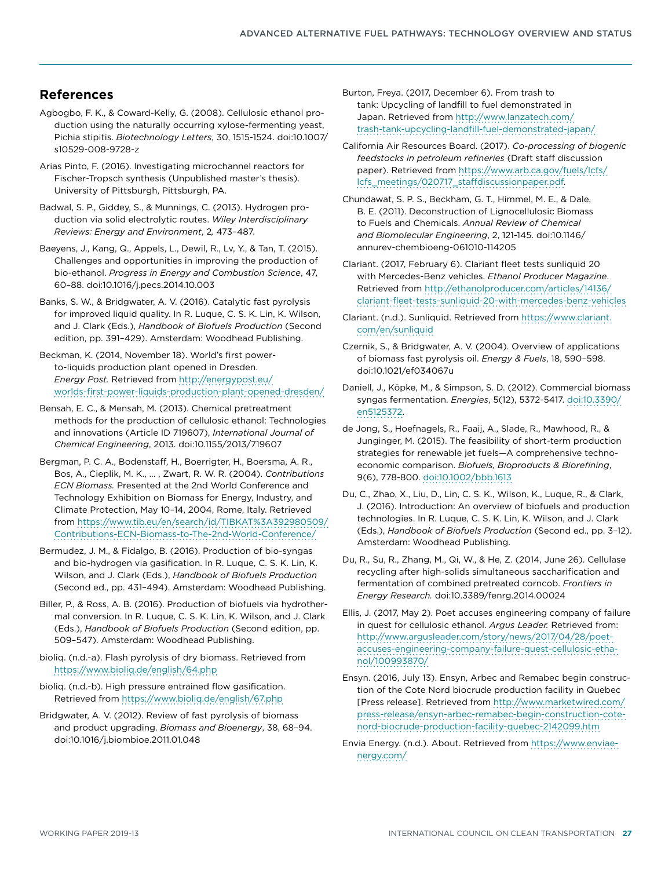# **References**

- Agbogbo, F. K., & Coward-Kelly, G. (2008). Cellulosic ethanol production using the naturally occurring xylose-fermenting yeast, Pichia stipitis. *Biotechnology Letters*, 30, 1515-1524. doi:10.1007/ s10529-008-9728-z
- Arias Pinto, F. (2016). Investigating microchannel reactors for Fischer-Tropsch synthesis (Unpublished master's thesis). University of Pittsburgh, Pittsburgh, PA.
- Badwal, S. P., Giddey, S., & Munnings, C. (2013). Hydrogen production via solid electrolytic routes. *Wiley Interdisciplinary Reviews: Energy and Environment*, 2*,* 473–487.
- Baeyens, J., Kang, Q., Appels, L., Dewil, R., Lv, Y., & Tan, T. (2015). Challenges and opportunities in improving the production of bio-ethanol. *Progress in Energy and Combustion Science*, 47, 60–88. doi:10.1016/j.pecs.2014.10.003
- Banks, S. W., & Bridgwater, A. V. (2016). Catalytic fast pyrolysis for improved liquid quality. In R. Luque, C. S. K. Lin, K. Wilson, and J. Clark (Eds.), *Handbook of Biofuels Production* (Second edition, pp. 391–429). Amsterdam: Woodhead Publishing.
- Beckman, K. (2014, November 18). World's first powerto-liquids production plant opened in Dresden. *Energy Post.* Retrieved from [http://energypost.eu/](http://energypost.eu/worlds-first-power-liquids-production-plant-opened-dresden/) [worlds-first-power-liquids-production-plant-opened-dresden/](http://energypost.eu/worlds-first-power-liquids-production-plant-opened-dresden/)
- Bensah, E. C., & Mensah, M. (2013). Chemical pretreatment methods for the production of cellulosic ethanol: Technologies and innovations (Article ID 719607), *International Journal of Chemical Engineering*, 2013. doi:10.1155/2013/719607
- Bergman, P. C. A., Bodenstaff, H., Boerrigter, H., Boersma, A. R., Bos, A., Cieplik, M. K., … , Zwart, R. W. R. (2004). *Contributions ECN Biomass.* Presented at the 2nd World Conference and Technology Exhibition on Biomass for Energy, Industry, and Climate Protection, May 10–14, 2004, Rome, Italy. Retrieved from [https://www.tib.eu/en/search/id/TIBKAT%3A392980509/](https://www.tib.eu/en/search/id/TIBKAT%3A392980509/Contributions-ECN-Biomass-to-The-2nd-World-Conference/) [Contributions-ECN-Biomass-to-The-2nd-World-Conference/](https://www.tib.eu/en/search/id/TIBKAT%3A392980509/Contributions-ECN-Biomass-to-The-2nd-World-Conference/)
- Bermudez, J. M., & Fidalgo, B. (2016). Production of bio-syngas and bio-hydrogen via gasification. In R. Luque, C. S. K. Lin, K. Wilson, and J. Clark (Eds.), *Handbook of Biofuels Production* (Second ed., pp. 431–494). Amsterdam: Woodhead Publishing.
- Biller, P., & Ross, A. B. (2016). Production of biofuels via hydrothermal conversion. In R. Luque, C. S. K. Lin, K. Wilson, and J. Clark (Eds.), *Handbook of Biofuels Production* (Second edition, pp. 509–547). Amsterdam: Woodhead Publishing.
- bioliq. (n.d.-a). Flash pyrolysis of dry biomass. Retrieved from <https://www.bioliq.de/english/64.php>
- bioliq. (n.d.-b). High pressure entrained flow gasification. Retrieved from<https://www.bioliq.de/english/67.php>
- Bridgwater, A. V. (2012). Review of fast pyrolysis of biomass and product upgrading. *Biomass and Bioenergy*, 38, 68–94. doi:10.1016/j.biombioe.2011.01.048
- Burton, Freya. (2017, December 6). From trash to tank: Upcycling of landfill to fuel demonstrated in Japan. Retrieved from [http://www.lanzatech.com/](http://www.lanzatech.com/trash-tank-upcycling-landfill-fuel-demonstrated-japan/) [trash-tank-upcycling-landfill-fuel-demonstrated-japan/](http://www.lanzatech.com/trash-tank-upcycling-landfill-fuel-demonstrated-japan/)
- California Air Resources Board. (2017). *Co-processing of biogenic feedstocks in petroleum refineries* (Draft staff discussion paper). Retrieved from [https://www.arb.ca.gov/fuels/lcfs/](https://www.arb.ca.gov/fuels/lcfs/lcfs_meetings/020717_staffdiscussionpaper.pdf) [lcfs\\_meetings/020717\\_staffdiscussionpaper.pdf.](https://www.arb.ca.gov/fuels/lcfs/lcfs_meetings/020717_staffdiscussionpaper.pdf)
- Chundawat, S. P. S., Beckham, G. T., Himmel, M. E., & Dale, B. E. (2011). Deconstruction of Lignocellulosic Biomass to Fuels and Chemicals. *Annual Review of Chemical and Biomolecular Engineering*, 2, 121-145. doi:10.1146/ annurev-chembioeng-061010-114205
- Clariant. (2017, February 6). Clariant fleet tests sunliquid 20 with Mercedes-Benz vehicles. *Ethanol Producer Magazine*. Retrieved from [http://ethanolproducer.com/articles/14136/](http://ethanolproducer.com/articles/14136/clariant-fleet-tests-sunliquid-20-with-mercedes-benz-vehicles) [clariant-fleet-tests-sunliquid-20-with-mercedes-benz-vehicles](http://ethanolproducer.com/articles/14136/clariant-fleet-tests-sunliquid-20-with-mercedes-benz-vehicles)
- Clariant. (n.d.). Sunliquid. Retrieved from [https://www.clariant.](https://www.clariant.com/en/sunliquid ) [com/en/sunliquid](https://www.clariant.com/en/sunliquid )
- Czernik, S., & Bridgwater, A. V. (2004). Overview of applications of biomass fast pyrolysis oil. *Energy & Fuels*, 18, 590–598. doi:10.1021/ef034067u
- Daniell, J., Köpke, M., & Simpson, S. D. (2012). Commercial biomass syngas fermentation. *Energies*, 5(12), 5372-5417. doi:[10.3390/](https://doi.org/10.3390/en5125372) [en5125372.](https://doi.org/10.3390/en5125372)
- de Jong, S., Hoefnagels, R., Faaij, A., Slade, R., Mawhood, R., & Junginger, M. (2015). The feasibility of short-term production strategies for renewable jet fuels—A comprehensive technoeconomic comparison. *Biofuels, Bioproducts & Biorefining*, 9(6), 778-800. [doi:10.1002/bbb.1613](https://doi.org/10.1002/bbb.1613)
- Du, C., Zhao, X., Liu, D., Lin, C. S. K., Wilson, K., Luque, R., & Clark, J. (2016). Introduction: An overview of biofuels and production technologies. In R. Luque, C. S. K. Lin, K. Wilson, and J. Clark (Eds.), *Handbook of Biofuels Production* (Second ed., pp. 3–12). Amsterdam: Woodhead Publishing.
- Du, R., Su, R., Zhang, M., Qi, W., & He, Z. (2014, June 26). Cellulase recycling after high-solids simultaneous saccharification and fermentation of combined pretreated corncob. *Frontiers in Energy Research.* doi:10.3389/fenrg.2014.00024
- Ellis, J. (2017, May 2). Poet accuses engineering company of failure in quest for cellulosic ethanol. *Argus Leader.* Retrieved from: [http://www.argusleader.com/story/news/2017/04/28/poet](http://www.argusleader.com/story/news/2017/04/28/poet-accuses-engineering-company-failure-quest-cellulosic-ethanol/100993870/)[accuses-engineering-company-failure-quest-cellulosic-etha](http://www.argusleader.com/story/news/2017/04/28/poet-accuses-engineering-company-failure-quest-cellulosic-ethanol/100993870/)[nol/100993870/](http://www.argusleader.com/story/news/2017/04/28/poet-accuses-engineering-company-failure-quest-cellulosic-ethanol/100993870/)
- Ensyn. (2016, July 13). Ensyn, Arbec and Remabec begin construction of the Cote Nord biocrude production facility in Quebec [Press release]. Retrieved from [http://www.marketwired.com/](http://www.marketwired.com/press-release/ensyn-arbec-remabec-begin-construction-cote-nord-biocrude-production-facility-quebec-2142099.htm) [press-release/ensyn-arbec-remabec-begin-construction-cote](http://www.marketwired.com/press-release/ensyn-arbec-remabec-begin-construction-cote-nord-biocrude-production-facility-quebec-2142099.htm)[nord-biocrude-production-facility-quebec-2142099.htm](http://www.marketwired.com/press-release/ensyn-arbec-remabec-begin-construction-cote-nord-biocrude-production-facility-quebec-2142099.htm)
- Envia Energy. (n.d.). About. Retrieved from [https://www.enviae](https://www.enviaenergy.com/)[nergy.com/](https://www.enviaenergy.com/)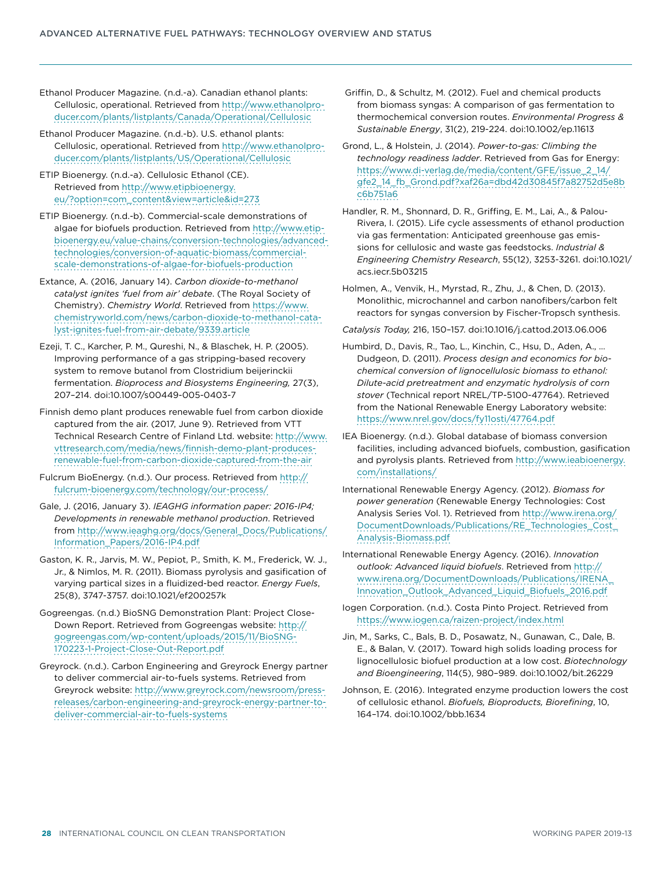Ethanol Producer Magazine. (n.d.-a). Canadian ethanol plants: Cellulosic, operational. Retrieved from [http://www.ethanolpro](http://www.ethanolproducer.com/plants/listplants/Canada/Operational/Cellulosic)[ducer.com/plants/listplants/Canada/Operational/Cellulosic](http://www.ethanolproducer.com/plants/listplants/Canada/Operational/Cellulosic)

Ethanol Producer Magazine. (n.d.-b). U.S. ethanol plants: Cellulosic, operational. Retrieved from [http://www.ethanolpro](http://www.ethanolproducer.com/plants/listplants/US/Operational/Cellulosic)[ducer.com/plants/listplants/US/Operational/Cellulosic](http://www.ethanolproducer.com/plants/listplants/US/Operational/Cellulosic)

ETIP Bioenergy. (n.d.-a). Cellulosic Ethanol (CE). Retrieved from [http://www.etipbioenergy.](http://www.etipbioenergy.eu/?option=com_content&view=article&id=273) [eu/?option=com\\_content&view=article&id=273](http://www.etipbioenergy.eu/?option=com_content&view=article&id=273)

ETIP Bioenergy. (n.d.-b). Commercial-scale demonstrations of algae for biofuels production. Retrieved from [http://www.etip](http://www.etipbioenergy.eu/value-chains/conversion-technologies/advanced-technologies/conversion-of-aquatic-biomass/commercial-scale-demonstrations-of-algae-for-biofuels-production)[bioenergy.eu/value-chains/conversion-technologies/advanced](http://www.etipbioenergy.eu/value-chains/conversion-technologies/advanced-technologies/conversion-of-aquatic-biomass/commercial-scale-demonstrations-of-algae-for-biofuels-production)[technologies/conversion-of-aquatic-biomass/commercial](http://www.etipbioenergy.eu/value-chains/conversion-technologies/advanced-technologies/conversion-of-aquatic-biomass/commercial-scale-demonstrations-of-algae-for-biofuels-production)[scale-demonstrations-of-algae-for-biofuels-production](http://www.etipbioenergy.eu/value-chains/conversion-technologies/advanced-technologies/conversion-of-aquatic-biomass/commercial-scale-demonstrations-of-algae-for-biofuels-production)

Extance, A. (2016, January 14). *Carbon dioxide-to-methanol catalyst ignites 'fuel from air' debate*. (The Royal Society of Chemistry). *Chemistry World*. Retrieved from [https://www.](https://www.chemistryworld.com/news/carbon-dioxide-to-methanol-catalyst-ignites-fuel-from-air-debate/9339.article) [chemistryworld.com/news/carbon-dioxide-to-methanol-cata](https://www.chemistryworld.com/news/carbon-dioxide-to-methanol-catalyst-ignites-fuel-from-air-debate/9339.article)[lyst-ignites-fuel-from-air-debate/9339.article](https://www.chemistryworld.com/news/carbon-dioxide-to-methanol-catalyst-ignites-fuel-from-air-debate/9339.article)

Ezeji, T. C., Karcher, P. M., Qureshi, N., & Blaschek, H. P. (2005). Improving performance of a gas stripping-based recovery system to remove butanol from Clostridium beijerinckii fermentation. *Bioprocess and Biosystems Engineering,* 27(3), 207–214. doi:10.1007/s00449-005-0403-7

Finnish demo plant produces renewable fuel from carbon dioxide captured from the air. (2017, June 9). Retrieved from VTT Technical Research Centre of Finland Ltd. website: [http://www.](http://www.vttresearch.com/media/news/finnish-demo-plant-produces-renewable-fuel-from-carbon-dioxide-captured-from-the-air) [vttresearch.com/media/news/finnish-demo-plant-produces](http://www.vttresearch.com/media/news/finnish-demo-plant-produces-renewable-fuel-from-carbon-dioxide-captured-from-the-air)[renewable-fuel-from-carbon-dioxide-captured-from-the-air](http://www.vttresearch.com/media/news/finnish-demo-plant-produces-renewable-fuel-from-carbon-dioxide-captured-from-the-air)

Fulcrum BioEnergy. (n.d.). Our process. Retrieved from [http://](http://fulcrum-bioenergy.com/technology/our-process/) [fulcrum-bioenergy.com/technology/our-process/](http://fulcrum-bioenergy.com/technology/our-process/)

Gale, J. (2016, January 3). *IEAGHG information paper: 2016-IP4; Developments in renewable methanol production*. Retrieved from http://www.ieaghg.org/docs/General\_Docs/Publications/ Information\_Papers/2016-IP4.pdf

Gaston, K. R., Jarvis, M. W., Pepiot, P., Smith, K. M., Frederick, W. J., Jr., & Nimlos, M. R. (2011). Biomass pyrolysis and gasification of varying partical sizes in a fluidized-bed reactor. *Energy Fuels*, 25(8), 3747-3757. doi:10.1021/ef200257k

Gogreengas. (n.d.) BioSNG Demonstration Plant: Project Close-Down Report. Retrieved from Gogreengas website: [http://](http://gogreengas.com/wp-content/uploads/2015/11/BioSNG-170223-1-Project-Close-Out-Report.pdf) [gogreengas.com/wp-content/uploads/2015/11/BioSNG-](http://gogreengas.com/wp-content/uploads/2015/11/BioSNG-170223-1-Project-Close-Out-Report.pdf)[170223-1-Project-Close-Out-Report.pdf](http://gogreengas.com/wp-content/uploads/2015/11/BioSNG-170223-1-Project-Close-Out-Report.pdf)

Greyrock. (n.d.). Carbon Engineering and Greyrock Energy partner to deliver commercial air-to-fuels systems. Retrieved from Greyrock website: [http://www.greyrock.com/newsroom/press](http://www.greyrock.com/newsroom/press-releases/carbon-engineering-and-greyrock-energy-partner-to-deliver-commercial-air-to-fuels-systems)[releases/carbon-engineering-and-greyrock-energy-partner-to](http://www.greyrock.com/newsroom/press-releases/carbon-engineering-and-greyrock-energy-partner-to-deliver-commercial-air-to-fuels-systems)[deliver-commercial-air-to-fuels-systems](http://www.greyrock.com/newsroom/press-releases/carbon-engineering-and-greyrock-energy-partner-to-deliver-commercial-air-to-fuels-systems)

 Griffin, D., & Schultz, M. (2012). Fuel and chemical products from biomass syngas: A comparison of gas fermentation to thermochemical conversion routes. *Environmental Progress & Sustainable Energy*, 31(2), 219-224. doi:10.1002/ep.11613

Grond, L., & Holstein, J. (2014). *Power-to-gas: Climbing the technology readiness ladder*. Retrieved from Gas for Energy: [https://www.di-verlag.de/media/content/GFE/issue\\_2\\_14/](https://www.di-verlag.de/media/content/GFE/issue_2_14/gfe2_14_fb_Grond.pdf?xaf26a=dbd42d30845f7a82752d5e8bc6b751a6) [gfe2\\_14\\_fb\\_Grond.pdf?xaf26a=dbd42d30845f7a82752d5e8b](https://www.di-verlag.de/media/content/GFE/issue_2_14/gfe2_14_fb_Grond.pdf?xaf26a=dbd42d30845f7a82752d5e8bc6b751a6) [c6b751a6](https://www.di-verlag.de/media/content/GFE/issue_2_14/gfe2_14_fb_Grond.pdf?xaf26a=dbd42d30845f7a82752d5e8bc6b751a6)

Handler, R. M., Shonnard, D. R., Griffing, E. M., Lai, A., & Palou-Rivera, I. (2015). Life cycle assessments of ethanol production via gas fermentation: Anticipated greenhouse gas emissions for cellulosic and waste gas feedstocks. *Industrial & Engineering Chemistry Research*, 55(12), 3253-3261. doi:10.1021/ acs.iecr.5b03215

Holmen, A., Venvik, H., Myrstad, R., Zhu, J., & Chen, D. (2013). Monolithic, microchannel and carbon nanofibers/carbon felt reactors for syngas conversion by Fischer-Tropsch synthesis.

*Catalysis Today,* 216, 150–157. doi:10.1016/j.cattod.2013.06.006

- Humbird, D., Davis, R., Tao, L., Kinchin, C., Hsu, D., Aden, A., … Dudgeon, D. (2011). *Process design and economics for biochemical conversion of lignocellulosic biomass to ethanol: Dilute-acid pretreatment and enzymatic hydrolysis of corn stover* (Technical report NREL/TP-5100-47764). Retrieved from the National Renewable Energy Laboratory website: <https://www.nrel.gov/docs/fy11osti/47764.pdf>
- IEA Bioenergy. (n.d.). Global database of biomass conversion facilities, including advanced biofuels, combustion, gasification and pyrolysis plants. Retrieved from [http://www.ieabioenergy.](http://www.ieabioenergy.com/installations/) [com/installations/](http://www.ieabioenergy.com/installations/)
- International Renewable Energy Agency. (2012). *Biomass for power generation* (Renewable Energy Technologies: Cost Analysis Series Vol. 1). Retrieved from [http://www.irena.org/](http://www.irena.org/DocumentDownloads/Publications/RE_Technologies_Cost_Analysis-Biomass.pdf) [DocumentDownloads/Publications/RE\\_Technologies\\_Cost\\_](http://www.irena.org/DocumentDownloads/Publications/RE_Technologies_Cost_Analysis-Biomass.pdf) [Analysis-Biomass.pdf](http://www.irena.org/DocumentDownloads/Publications/RE_Technologies_Cost_Analysis-Biomass.pdf)
- International Renewable Energy Agency. (2016). *Innovation outlook: Advanced liquid biofuels*. Retrieved from [http://](http://www.irena.org/DocumentDownloads/Publications/IRENA_Innovation_Outlook_Advanced_Liquid_Biofuels_2016.pdf) [www.irena.org/DocumentDownloads/Publications/IRENA\\_](http://www.irena.org/DocumentDownloads/Publications/IRENA_Innovation_Outlook_Advanced_Liquid_Biofuels_2016.pdf) [Innovation\\_Outlook\\_Advanced\\_Liquid\\_Biofuels\\_2016.pdf](http://www.irena.org/DocumentDownloads/Publications/IRENA_Innovation_Outlook_Advanced_Liquid_Biofuels_2016.pdf)
- Iogen Corporation. (n.d.). Costa Pinto Project. Retrieved from <https://www.iogen.ca/raizen-project/index.html>

Jin, M., Sarks, C., Bals, B. D., Posawatz, N., Gunawan, C., Dale, B. E., & Balan, V. (2017). Toward high solids loading process for lignocellulosic biofuel production at a low cost. *Biotechnology and Bioengineering*, 114(5), 980–989. doi:10.1002/bit.26229

Johnson, E. (2016). Integrated enzyme production lowers the cost of cellulosic ethanol. *Biofuels, Bioproducts, Biorefining*, 10, 164–174. doi:10.1002/bbb.1634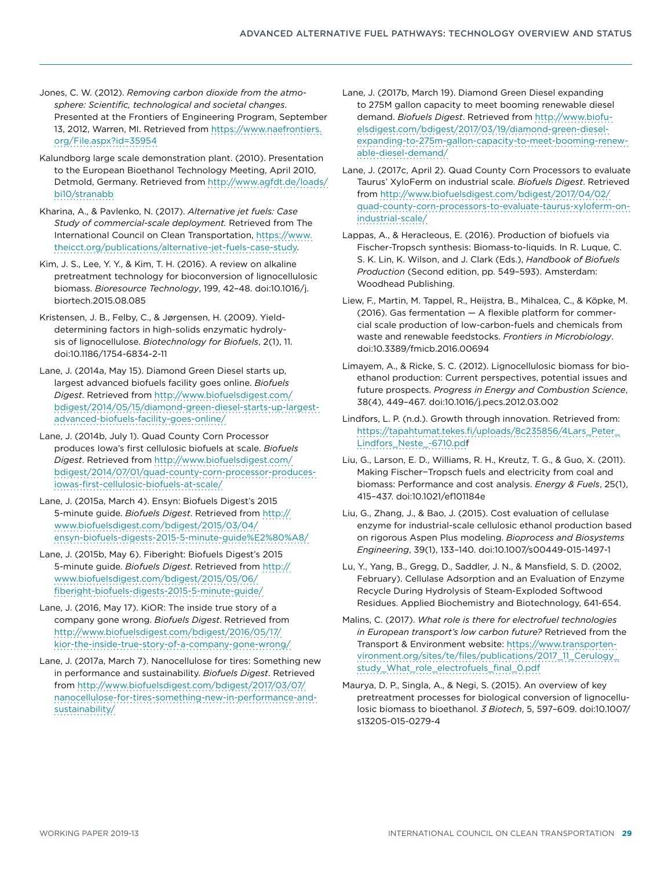Jones, C. W. (2012). *Removing carbon dioxide from the atmosphere: Scientific, technological and societal changes*. Presented at the Frontiers of Engineering Program, September 13, 2012, Warren, MI. Retrieved from [https://www.naefrontiers.](https://www.naefrontiers.org/File.aspx?id=35954) [org/File.aspx?id=35954](https://www.naefrontiers.org/File.aspx?id=35954)

Kalundborg large scale demonstration plant. (2010). Presentation to the European Bioethanol Technology Meeting, April 2010, Detmold, Germany. Retrieved from [http://www.agfdt.de/loads/](http://www.agfdt.de/loads/bi10/stranabb) [bi10/stranabb](http://www.agfdt.de/loads/bi10/stranabb)

Kharina, A., & Pavlenko, N. (2017). *Alternative jet fuels: Case Study of commercial-scale deployment.* Retrieved from The International Council on Clean Transportation, [https://www.](https://www.theicct.org/publications/alternative-jet-fuels-case-study) [theicct.org/publications/alternative-jet-fuels-case-study.](https://www.theicct.org/publications/alternative-jet-fuels-case-study)

Kim, J. S., Lee, Y. Y., & Kim, T. H. (2016). A review on alkaline pretreatment technology for bioconversion of lignocellulosic biomass. *Bioresource Technology*, 199, 42–48. doi:10.1016/j. biortech.2015.08.085

Kristensen, J. B., Felby, C., & Jørgensen, H. (2009). Yielddetermining factors in high-solids enzymatic hydrolysis of lignocellulose. *Biotechnology for Biofuels*, 2(1), 11. doi:10.1186/1754-6834-2-11

Lane, J. (2014a, May 15). Diamond Green Diesel starts up, largest advanced biofuels facility goes online. *Biofuels Digest*. Retrieved from [http://www.biofuelsdigest.com/](http://www.biofuelsdigest.com/bdigest/2014/05/15/diamond-green-diesel-starts-up-largest-advanced-biofuels-facility-goes-online/) [bdigest/2014/05/15/diamond-green-diesel-starts-up-largest](http://www.biofuelsdigest.com/bdigest/2014/05/15/diamond-green-diesel-starts-up-largest-advanced-biofuels-facility-goes-online/)[advanced-biofuels-facility-goes-online/](http://www.biofuelsdigest.com/bdigest/2014/05/15/diamond-green-diesel-starts-up-largest-advanced-biofuels-facility-goes-online/)

Lane, J. (2014b, July 1). Quad County Corn Processor produces Iowa's first cellulosic biofuels at scale. *Biofuels Digest*. Retrieved from [http://www.biofuelsdigest.com/](http://www.biofuelsdigest.com/bdigest/2014/07/01/quad-county-corn-processor-produces-iowas-first-cellulosic-biofuels-at-scale/) [bdigest/2014/07/01/quad-county-corn-processor-produces](http://www.biofuelsdigest.com/bdigest/2014/07/01/quad-county-corn-processor-produces-iowas-first-cellulosic-biofuels-at-scale/)[iowas-first-cellulosic-biofuels-at-scale/](http://www.biofuelsdigest.com/bdigest/2014/07/01/quad-county-corn-processor-produces-iowas-first-cellulosic-biofuels-at-scale/)

Lane, J. (2015a, March 4). Ensyn: Biofuels Digest's 2015 5-minute guide. *Biofuels Digest*. Retrieved from [http://](http://www.biofuelsdigest.com/bdigest/2015/03/04/ensyn-biofuels-digests-2015-5-minute-guide%E2%80%A8/) [www.biofuelsdigest.com/bdigest/2015/03/04/](http://www.biofuelsdigest.com/bdigest/2015/03/04/ensyn-biofuels-digests-2015-5-minute-guide%E2%80%A8/) [ensyn-biofuels-digests-2015-5-minute-guide%E2%80%A8/](http://www.biofuelsdigest.com/bdigest/2015/03/04/ensyn-biofuels-digests-2015-5-minute-guide%E2%80%A8/)

Lane, J. (2015b, May 6). Fiberight: Biofuels Digest's 2015 5-minute guide. *Biofuels Digest*. Retrieved from [http://](http://www.biofuelsdigest.com/bdigest/2015/05/06/fiberight-biofuels-digests-2015-5-minute-guide/) [www.biofuelsdigest.com/bdigest/2015/05/06/](http://www.biofuelsdigest.com/bdigest/2015/05/06/fiberight-biofuels-digests-2015-5-minute-guide/) [fiberight-biofuels-digests-2015-5-minute-guide/](http://www.biofuelsdigest.com/bdigest/2015/05/06/fiberight-biofuels-digests-2015-5-minute-guide/)

Lane, J. (2016, May 17). KiOR: The inside true story of a company gone wrong. *Biofuels Digest*. Retrieved from [http://www.biofuelsdigest.com/bdigest/2016/05/17/](http://www.biofuelsdigest.com/bdigest/2016/05/17/kior-the-inside-true-story-of-a-company-gone-wrong/) [kior-the-inside-true-story-of-a-company-gone-wrong/](http://www.biofuelsdigest.com/bdigest/2016/05/17/kior-the-inside-true-story-of-a-company-gone-wrong/)

Lane, J. (2017a, March 7). Nanocellulose for tires: Something new in performance and sustainability. *Biofuels Digest*. Retrieved from [http://www.biofuelsdigest.com/bdigest/2017/03/07/](http://www.biofuelsdigest.com/bdigest/2017/03/07/nanocellulose-for-tires-something-new-in-performance-and-sustainability/) [nanocellulose-for-tires-something-new-in-performance-and](http://www.biofuelsdigest.com/bdigest/2017/03/07/nanocellulose-for-tires-something-new-in-performance-and-sustainability/)[sustainability/](http://www.biofuelsdigest.com/bdigest/2017/03/07/nanocellulose-for-tires-something-new-in-performance-and-sustainability/)

Lane, J. (2017b, March 19). Diamond Green Diesel expanding to 275M gallon capacity to meet booming renewable diesel demand. *Biofuels Digest*. Retrieved from [http://www.biofu](http://www.biofuelsdigest.com/bdigest/2017/03/19/diamond-green-diesel-expanding-to-275m-gallon-capacity-to-meet-booming-renewable-diesel-demand/)[elsdigest.com/bdigest/2017/03/19/diamond-green-diesel](http://www.biofuelsdigest.com/bdigest/2017/03/19/diamond-green-diesel-expanding-to-275m-gallon-capacity-to-meet-booming-renewable-diesel-demand/)[expanding-to-275m-gallon-capacity-to-meet-booming-renew](http://www.biofuelsdigest.com/bdigest/2017/03/19/diamond-green-diesel-expanding-to-275m-gallon-capacity-to-meet-booming-renewable-diesel-demand/)[able-diesel-demand/](http://www.biofuelsdigest.com/bdigest/2017/03/19/diamond-green-diesel-expanding-to-275m-gallon-capacity-to-meet-booming-renewable-diesel-demand/)

Lane, J. (2017c, April 2). Quad County Corn Processors to evaluate Taurus' XyloFerm on industrial scale. *Biofuels Digest*. Retrieved from [http://www.biofuelsdigest.com/bdigest/2017/04/02/](http://www.biofuelsdigest.com/bdigest/2017/04/02/quad-county-corn-processors-to-evaluate-taurus-xyloferm-on-industrial-scale/) [quad-county-corn-processors-to-evaluate-taurus-xyloferm-on](http://www.biofuelsdigest.com/bdigest/2017/04/02/quad-county-corn-processors-to-evaluate-taurus-xyloferm-on-industrial-scale/)[industrial-scale/](http://www.biofuelsdigest.com/bdigest/2017/04/02/quad-county-corn-processors-to-evaluate-taurus-xyloferm-on-industrial-scale/)

Lappas, A., & Heracleous, E. (2016). Production of biofuels via Fischer-Tropsch synthesis: Biomass-to-liquids. In R. Luque, C. S. K. Lin, K. Wilson, and J. Clark (Eds.), *Handbook of Biofuels Production* (Second edition, pp. 549–593). Amsterdam: Woodhead Publishing.

Liew, F., Martin, M. Tappel, R., Heijstra, B., Mihalcea, C., & Köpke, M. (2016). Gas fermentation — A flexible platform for commercial scale production of low-carbon-fuels and chemicals from waste and renewable feedstocks. *Frontiers in Microbiology*. doi:10.3389/fmicb.2016.00694

Limayem, A., & Ricke, S. C. (2012). Lignocellulosic biomass for bioethanol production: Current perspectives, potential issues and future prospects. *Progress in Energy and Combustion Science*, 38(4), 449–467. doi:10.1016/j.pecs.2012.03.002

Lindfors, L. P. (n.d.). Growth through innovation. Retrieved from: [https://tapahtumat.tekes.fi/uploads/8c235856/4Lars\\_Peter\\_](https://tapahtumat.tekes.fi/uploads/8c235856/4Lars_Peter_Lindfors_Neste_-6710.pdf) [Lindfors\\_Neste\\_-6710.pdf](https://tapahtumat.tekes.fi/uploads/8c235856/4Lars_Peter_Lindfors_Neste_-6710.pdf)

Liu, G., Larson, E. D., Williams, R. H., Kreutz, T. G., & Guo, X. (2011). Making Fischer−Tropsch fuels and electricity from coal and biomass: Performance and cost analysis. *Energy & Fuels*, 25(1), 415–437. doi:10.1021/ef101184e

Liu, G., Zhang, J., & Bao, J. (2015). Cost evaluation of cellulase enzyme for industrial-scale cellulosic ethanol production based on rigorous Aspen Plus modeling. *Bioprocess and Biosystems Engineering*, 39(1), 133–140. doi:10.1007/s00449-015-1497-1

Lu, Y., Yang, B., Gregg, D., Saddler, J. N., & Mansfield, S. D. (2002, February). Cellulase Adsorption and an Evaluation of Enzyme Recycle During Hydrolysis of Steam-Exploded Softwood Residues. Applied Biochemistry and Biotechnology, 641-654.

Malins, C. (2017). *What role is there for electrofuel technologies in European transport's low carbon future?* Retrieved from the Transport & Environment website: [https://www.transporten](https://www.transportenvironment.org/sites/te/files/publications/2017_11_Cerulogy_study_What_role_electrofuels_final_0.pdf)[vironment.org/sites/te/files/publications/2017\\_11\\_Cerulogy\\_](https://www.transportenvironment.org/sites/te/files/publications/2017_11_Cerulogy_study_What_role_electrofuels_final_0.pdf) [study\\_What\\_role\\_electrofuels\\_final\\_0.pdf](https://www.transportenvironment.org/sites/te/files/publications/2017_11_Cerulogy_study_What_role_electrofuels_final_0.pdf)

Maurya, D. P., Singla, A., & Negi, S. (2015). An overview of key pretreatment processes for biological conversion of lignocellulosic biomass to bioethanol. *3 Biotech*, 5, 597–609. doi:10.1007/ s13205-015-0279-4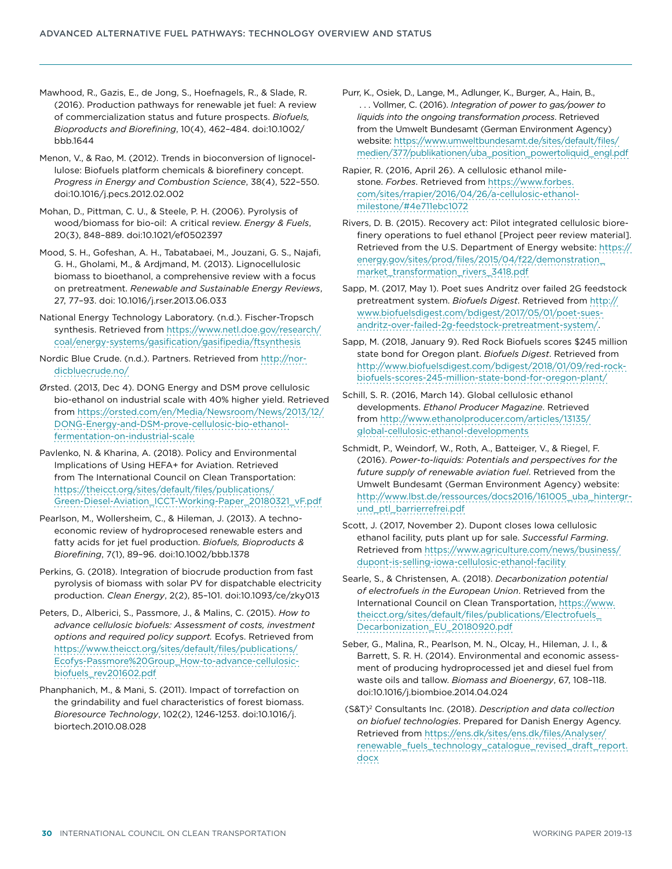Mawhood, R., Gazis, E., de Jong, S., Hoefnagels, R., & Slade, R. (2016). Production pathways for renewable jet fuel: A review of commercialization status and future prospects. *Biofuels, Bioproducts and Biorefining*, 10(4), 462–484. doi:10.1002/ bbb.1644

Menon, V., & Rao, M. (2012). Trends in bioconversion of lignocellulose: Biofuels platform chemicals & biorefinery concept. *Progress in Energy and Combustion Science*, 38(4), 522–550. doi:10.1016/j.pecs.2012.02.002

Mohan, D., Pittman, C. U., & Steele, P. H. (2006). Pyrolysis of wood/biomass for bio-oil:  A critical review. *Energy & Fuels*, 20(3), 848–889. doi:10.1021/ef0502397

Mood, S. H., Gofeshan, A. H., Tabatabaei, M., Jouzani, G. S., Najafi, G. H., Gholami, M., & Ardjmand, M. (2013). Lignocellulosic biomass to bioethanol, a comprehensive review with a focus on pretreatment. *Renewable and Sustainable Energy Reviews*, 27, 77–93. doi: 10.1016/j.rser.2013.06.033

National Energy Technology Laboratory. (n.d.). Fischer-Tropsch synthesis. Retrieved from [https://www.netl.doe.gov/research/](https://www.netl.doe.gov/research/coal/energy-systems/gasification/gasifipedia/ftsynthesis) [coal/energy-systems/gasification/gasifipedia/ftsynthesis](https://www.netl.doe.gov/research/coal/energy-systems/gasification/gasifipedia/ftsynthesis)

Nordic Blue Crude. (n.d.). Partners. Retrieved from [http://nor](http://nordicbluecrude.no/)[dicbluecrude.no/](http://nordicbluecrude.no/)

Ørsted. (2013, Dec 4). DONG Energy and DSM prove cellulosic bio-ethanol on industrial scale with 40% higher yield. Retrieved from [https://orsted.com/en/Media/Newsroom/News/2013/12/](https://orsted.com/en/Media/Newsroom/News/2013/12/DONG-Energy-and-DSM-prove-cellulosic-bio-ethanol-fermentation-on-industrial-scale) [DONG-Energy-and-DSM-prove-cellulosic-bio-ethanol](https://orsted.com/en/Media/Newsroom/News/2013/12/DONG-Energy-and-DSM-prove-cellulosic-bio-ethanol-fermentation-on-industrial-scale)[fermentation-on-industrial-scale](https://orsted.com/en/Media/Newsroom/News/2013/12/DONG-Energy-and-DSM-prove-cellulosic-bio-ethanol-fermentation-on-industrial-scale)

Pavlenko, N. & Kharina, A. (2018). Policy and Environmental Implications of Using HEFA+ for Aviation. Retrieved from The International Council on Clean Transportation: [https://theicct.org/sites/default/files/publications/](https://theicct.org/sites/default/files/publications/Green-Diesel-Aviation_ICCT-Working-Paper_20180321_vF.pdf) [Green-Diesel-Aviation\\_ICCT-Working-Paper\\_20180321\\_vF.pdf](https://theicct.org/sites/default/files/publications/Green-Diesel-Aviation_ICCT-Working-Paper_20180321_vF.pdf)

Pearlson, M., Wollersheim, C., & Hileman, J. (2013). A technoeconomic review of hydroprocesed renewable esters and fatty acids for jet fuel production. *Biofuels, Bioproducts & Biorefining*, 7(1), 89–96. doi:10.1002/bbb.1378

Perkins, G. (2018). Integration of biocrude production from fast pyrolysis of biomass with solar PV for dispatchable electricity production. *Clean Energy*, 2(2), 85–101. doi:10.1093/ce/zky013

Peters, D., Alberici, S., Passmore, J., & Malins, C. (2015). *How to advance cellulosic biofuels: Assessment of costs, investment options and required policy support.* Ecofys. Retrieved from [https://www.theicct.org/sites/default/files/publications/](https://www.theicct.org/sites/default/files/publications/Ecofys-Passmore%20Group_How-to-advance-cellulosic-biofuels_rev201602.pdf) [Ecofys-Passmore%20Group\\_How-to-advance-cellulosic](https://www.theicct.org/sites/default/files/publications/Ecofys-Passmore%20Group_How-to-advance-cellulosic-biofuels_rev201602.pdf)[biofuels\\_rev201602.pdf](https://www.theicct.org/sites/default/files/publications/Ecofys-Passmore%20Group_How-to-advance-cellulosic-biofuels_rev201602.pdf)

Phanphanich, M., & Mani, S. (2011). Impact of torrefaction on the grindability and fuel characteristics of forest biomass. *Bioresource Technology*, 102(2), 1246-1253. doi:10.1016/j. biortech.2010.08.028

Purr, K., Osiek, D., Lange, M., Adlunger, K., Burger, A., Hain, B., . . . Vollmer, C. (2016). *Integration of power to gas/power to liquids into the ongoing transformation process*. Retrieved from the Umwelt Bundesamt (German Environment Agency) website: [https://www.umweltbundesamt.de/sites/default/files/](https://www.umweltbundesamt.de/sites/default/files/medien/377/publikationen/uba_position_powertoliquid_engl.pdf) [medien/377/publikationen/uba\\_position\\_powertoliquid\\_engl.pdf](https://www.umweltbundesamt.de/sites/default/files/medien/377/publikationen/uba_position_powertoliquid_engl.pdf)

Rapier, R. (2016, April 26). A cellulosic ethanol milestone. *Forbes*. Retrieved from [https://www.forbes.](https://www.forbes.com/sites/rrapier/2016/04/26/a-cellulosic-ethanol-milestone/#4e711ebc1072) [com/sites/rrapier/2016/04/26/a-cellulosic-ethanol](https://www.forbes.com/sites/rrapier/2016/04/26/a-cellulosic-ethanol-milestone/#4e711ebc1072)[milestone/#4e711ebc1072](https://www.forbes.com/sites/rrapier/2016/04/26/a-cellulosic-ethanol-milestone/#4e711ebc1072)

Rivers, D. B. (2015). Recovery act: Pilot integrated cellulosic biorefinery operations to fuel ethanol [Project peer review material]. Retrieved from the U.S. Department of Energy website: [https://](https://energy.gov/sites/prod/files/2015/04/f22/demonstration_market_transformation_rivers_3418.pdf) [energy.gov/sites/prod/files/2015/04/f22/demonstration\\_](https://energy.gov/sites/prod/files/2015/04/f22/demonstration_market_transformation_rivers_3418.pdf) [market\\_transformation\\_rivers\\_3418.pdf](https://energy.gov/sites/prod/files/2015/04/f22/demonstration_market_transformation_rivers_3418.pdf)

Sapp, M. (2017, May 1). Poet sues Andritz over failed 2G feedstock pretreatment system. *Biofuels Digest*. Retrieved from [http://](http://www.biofuelsdigest.com/bdigest/2017/05/01/poet-sues-andritz-over-failed-2g-feedstock-pretreatment-system/) [www.biofuelsdigest.com/bdigest/2017/05/01/poet-sues](http://www.biofuelsdigest.com/bdigest/2017/05/01/poet-sues-andritz-over-failed-2g-feedstock-pretreatment-system/)[andritz-over-failed-2g-feedstock-pretreatment-system/](http://www.biofuelsdigest.com/bdigest/2017/05/01/poet-sues-andritz-over-failed-2g-feedstock-pretreatment-system/).

Sapp, M. (2018, January 9). Red Rock Biofuels scores \$245 million state bond for Oregon plant. *Biofuels Digest*. Retrieved from [http://www.biofuelsdigest.com/bdigest/2018/01/09/red-rock](http://www.biofuelsdigest.com/bdigest/2018/01/09/red-rock-biofuels-scores-245-million-state-bond-for-oregon-plant/)[biofuels-scores-245-million-state-bond-for-oregon-plant/](http://www.biofuelsdigest.com/bdigest/2018/01/09/red-rock-biofuels-scores-245-million-state-bond-for-oregon-plant/)

Schill, S. R. (2016, March 14). Global cellulosic ethanol developments. *Ethanol Producer Magazine*. Retrieved from [http://www.ethanolproducer.com/articles/13135/](http://www.ethanolproducer.com/articles/13135/global-cellulosic-ethanol-developments) [global-cellulosic-ethanol-developments](http://www.ethanolproducer.com/articles/13135/global-cellulosic-ethanol-developments)

Schmidt, P., Weindorf, W., Roth, A., Batteiger, V., & Riegel, F. (2016). *Power-to-liquids: Potentials and perspectives for the future supply of renewable aviation fuel*. Retrieved from the Umwelt Bundesamt (German Environment Agency) website: [http://www.lbst.de/ressources/docs2016/161005\\_uba\\_hintergr](http://www.lbst.de/ressources/docs2016/161005_uba_hintergrund_ptl_barrierrefrei.pdf)[und\\_ptl\\_barrierrefrei.pdf](http://www.lbst.de/ressources/docs2016/161005_uba_hintergrund_ptl_barrierrefrei.pdf)

Scott, J. (2017, November 2). Dupont closes Iowa cellulosic ethanol facility, puts plant up for sale. *Successful Farming*. Retrieved from [https://www.agriculture.com/news/business/](https://www.agriculture.com/news/business/dupont-is-selling-iowa-cellulosic-ethanol-facility) [dupont-is-selling-iowa-cellulosic-ethanol-facility](https://www.agriculture.com/news/business/dupont-is-selling-iowa-cellulosic-ethanol-facility)

Searle, S., & Christensen, A. (2018). *Decarbonization potential of electrofuels in the European Union*. Retrieved from the International Council on Clean Transportation, [https://www.](https://www.theicct.org/sites/default/files/publications/Electrofuels_Decarbonization_EU_20180920.pdf) [theicct.org/sites/default/files/publications/Electrofuels\\_](https://www.theicct.org/sites/default/files/publications/Electrofuels_Decarbonization_EU_20180920.pdf) [Decarbonization\\_EU\\_20180920.pdf](https://www.theicct.org/sites/default/files/publications/Electrofuels_Decarbonization_EU_20180920.pdf)

Seber, G., Malina, R., Pearlson, M. N., Olcay, H., Hileman, J. I., & Barrett, S. R. H. (2014). Environmental and economic assessment of producing hydroprocessed jet and diesel fuel from waste oils and tallow. *Biomass and Bioenergy*, 67, 108–118. doi:10.1016/j.biombioe.2014.04.024

 (S&T)2 Consultants Inc. (2018). *Description and data collection on biofuel technologies*. Prepared for Danish Energy Agency. Retrieved from [https://ens.dk/sites/ens.dk/files/Analyser/](https://ens.dk/sites/ens.dk/files/Analyser/renewable_fuels_technology_catalogue_revised_draft_report.docx) [renewable\\_fuels\\_technology\\_catalogue\\_revised\\_draft\\_report.](https://ens.dk/sites/ens.dk/files/Analyser/renewable_fuels_technology_catalogue_revised_draft_report.docx) [docx](https://ens.dk/sites/ens.dk/files/Analyser/renewable_fuels_technology_catalogue_revised_draft_report.docx)